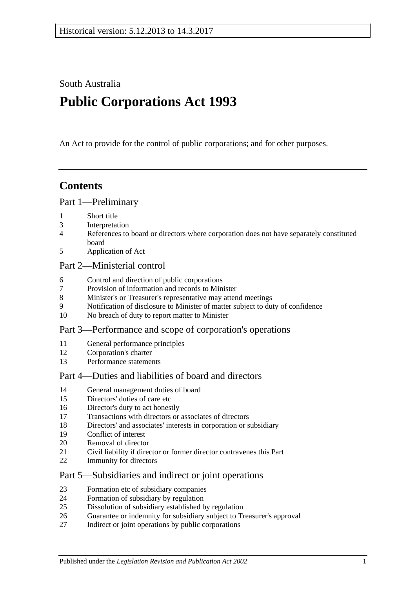South Australia

# **Public Corporations Act 1993**

An Act to provide for the control of public corporations; and for other purposes.

## **Contents**

#### [Part 1—Preliminary](#page-2-0)

- [Short title](#page-2-1)
- [Interpretation](#page-2-2)
- [References to board or directors where corporation does not have separately constituted](#page-4-0)  [board](#page-4-0)
- [Application of Act](#page-4-1)

#### [Part 2—Ministerial control](#page-5-0)

- [Control and direction of public corporations](#page-5-1)
- [Provision of information and records to Minister](#page-6-0)
- [Minister's or Treasurer's representative may attend meetings](#page-6-1)
- [Notification of disclosure to Minister of matter subject to duty of confidence](#page-6-2)
- [No breach of duty to report matter to Minister](#page-6-3)

#### [Part 3—Performance and scope of corporation's operations](#page-7-0)

- [General performance principles](#page-7-1)
- [Corporation's charter](#page-7-2)
- [Performance statements](#page-8-0)

## [Part 4—Duties and liabilities of board and directors](#page-8-1)

- [General management duties of board](#page-8-2)
- [Directors' duties of care etc](#page-9-0)
- [Director's duty to act honestly](#page-10-0)
- [Transactions with directors or associates of directors](#page-10-1)
- [Directors' and associates' interests in corporation or subsidiary](#page-11-0)
- [Conflict of interest](#page-12-0)
- [Removal of director](#page-13-0)
- [Civil liability if director or former director contravenes this Part](#page-13-1)
- [Immunity for directors](#page-13-2)

#### [Part 5—Subsidiaries and indirect or joint operations](#page-13-3)

- [Formation etc of subsidiary companies](#page-13-4)
- [Formation of subsidiary by regulation](#page-14-0)
- [Dissolution of subsidiary established by regulation](#page-14-1)
- [Guarantee or indemnity for subsidiary subject to Treasurer's approval](#page-15-0)
- [Indirect or joint operations by public corporations](#page-15-1)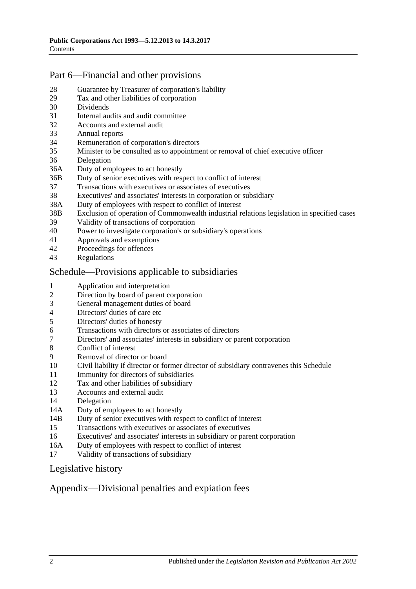## [Part 6—Financial and other provisions](#page-15-2)

- [Guarantee by Treasurer of corporation's liability](#page-15-3)
- [Tax and other liabilities of corporation](#page-15-4)
- [Dividends](#page-16-0)
- [Internal audits and audit committee](#page-16-1)
- [Accounts and external audit](#page-17-0)
- [Annual reports](#page-17-1)
- [Remuneration of corporation's directors](#page-18-0)
- [Minister to be consulted as to appointment or removal of chief executive officer](#page-18-1)
- [Delegation](#page-18-2)
- 36A [Duty of employees to act honestly](#page-19-0)
- 36B [Duty of senior executives with respect to conflict of interest](#page-19-1)
- [Transactions with executives or associates of executives](#page-21-0)
- [Executives' and associates' interests in corporation or subsidiary](#page-22-0)
- 38A [Duty of employees with respect to conflict of interest](#page-23-0)
- 38B [Exclusion of operation of Commonwealth industrial relations legislation in specified cases](#page-24-0)
- [Validity of transactions of corporation](#page-24-1)
- [Power to investigate corporation's or subsidiary's operations](#page-25-0)
- [Approvals and exemptions](#page-27-0)<br>42 Proceedings for offences
- [Proceedings for offences](#page-27-1)
- [Regulations](#page-27-2)

#### [Schedule—Provisions applicable to subsidiaries](#page-27-3)

- [Application and interpretation](#page-27-4)
- [Direction by board of parent corporation](#page-27-5)
- [General management duties of board](#page-28-0)
- [Directors' duties of care etc](#page-28-1)<br>5 Directors' duties of honesty
- [Directors' duties of honesty](#page-29-0)
- [Transactions with directors or associates of directors](#page-29-1)
- [Directors' and associates' interests in subsidiary or parent corporation](#page-30-0)
- [Conflict of interest](#page-31-0)<br>9 Removal of directo
- [Removal of director or board](#page-32-0)
- [Civil liability if director or former director of subsidiary contravenes this Schedule](#page-32-1)
- [Immunity for directors of subsidiaries](#page-32-2)
- [Tax and other liabilities of subsidiary](#page-33-0)
- [Accounts and external audit](#page-33-1)
- [Delegation](#page-33-2)
- 14A [Duty of employees to act honestly](#page-34-0)
- 14B [Duty of senior executives with respect to conflict of interest](#page-35-0)
- [Transactions with executives or associates of executives](#page-37-0)
- [Executives' and associates' interests in subsidiary or parent corporation](#page-38-0)
- 16A [Duty of employees with respect to conflict of interest](#page-39-0)
- [Validity of transactions of subsidiary](#page-40-0)

#### [Legislative history](#page-41-0)

#### [Appendix—Divisional penalties and expiation fees](#page-43-0)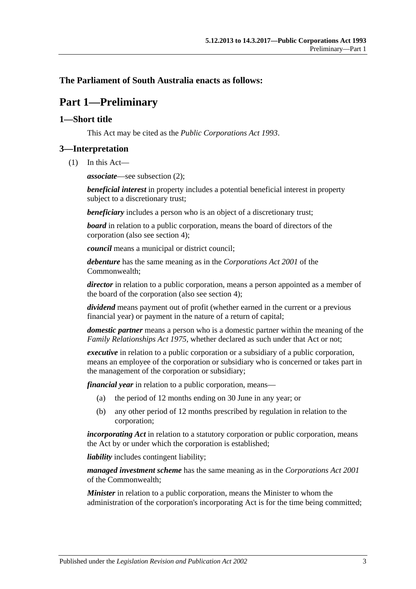### <span id="page-2-0"></span>**The Parliament of South Australia enacts as follows:**

# **Part 1—Preliminary**

#### <span id="page-2-1"></span>**1—Short title**

This Act may be cited as the *Public Corporations Act 1993*.

### <span id="page-2-2"></span>**3—Interpretation**

(1) In this Act—

*associate*—see [subsection](#page-3-0) (2);

*beneficial interest* in property includes a potential beneficial interest in property subject to a discretionary trust;

*beneficiary* includes a person who is an object of a discretionary trust;

*board* in relation to a public corporation, means the board of directors of the corporation (also see [section](#page-4-0) 4);

*council* means a municipal or district council;

*debenture* has the same meaning as in the *Corporations Act 2001* of the Commonwealth;

*director* in relation to a public corporation, means a person appointed as a member of the board of the corporation (also see [section](#page-4-0) 4);

*dividend* means payment out of profit (whether earned in the current or a previous financial year) or payment in the nature of a return of capital;

*domestic partner* means a person who is a domestic partner within the meaning of the *[Family Relationships Act](http://www.legislation.sa.gov.au/index.aspx?action=legref&type=act&legtitle=Family%20Relationships%20Act%201975) 1975*, whether declared as such under that Act or not;

*executive* in relation to a public corporation or a subsidiary of a public corporation, means an employee of the corporation or subsidiary who is concerned or takes part in the management of the corporation or subsidiary;

*financial year* in relation to a public corporation, means—

- (a) the period of 12 months ending on 30 June in any year; or
- (b) any other period of 12 months prescribed by regulation in relation to the corporation;

*incorporating Act* in relation to a statutory corporation or public corporation, means the Act by or under which the corporation is established;

*liability* includes contingent liability;

*managed investment scheme* has the same meaning as in the *Corporations Act 2001* of the Commonwealth;

*Minister* in relation to a public corporation, means the Minister to whom the administration of the corporation's incorporating Act is for the time being committed;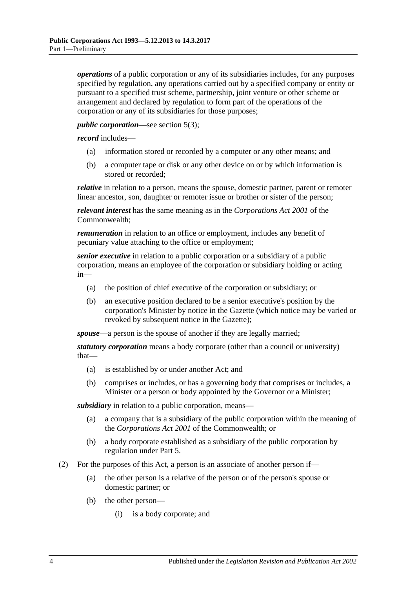*operations* of a public corporation or any of its subsidiaries includes, for any purposes specified by regulation, any operations carried out by a specified company or entity or pursuant to a specified trust scheme, partnership, joint venture or other scheme or arrangement and declared by regulation to form part of the operations of the corporation or any of its subsidiaries for those purposes;

#### *public corporation*—see [section](#page-4-2) 5(3);

*record* includes—

- (a) information stored or recorded by a computer or any other means; and
- (b) a computer tape or disk or any other device on or by which information is stored or recorded;

*relative* in relation to a person, means the spouse, domestic partner, parent or remoter linear ancestor, son, daughter or remoter issue or brother or sister of the person;

*relevant interest* has the same meaning as in the *Corporations Act 2001* of the Commonwealth;

*remuneration* in relation to an office or employment, includes any benefit of pecuniary value attaching to the office or employment;

*senior executive* in relation to a public corporation or a subsidiary of a public corporation, means an employee of the corporation or subsidiary holding or acting in—

- (a) the position of chief executive of the corporation or subsidiary; or
- (b) an executive position declared to be a senior executive's position by the corporation's Minister by notice in the Gazette (which notice may be varied or revoked by subsequent notice in the Gazette);

*spouse*—a person is the spouse of another if they are legally married;

*statutory corporation* means a body corporate (other than a council or university) that—

- (a) is established by or under another Act; and
- (b) comprises or includes, or has a governing body that comprises or includes, a Minister or a person or body appointed by the Governor or a Minister;

*subsidiary* in relation to a public corporation, means—

- (a) a company that is a subsidiary of the public corporation within the meaning of the *Corporations Act 2001* of the Commonwealth; or
- (b) a body corporate established as a subsidiary of the public corporation by regulation under [Part 5.](#page-13-3)
- <span id="page-3-1"></span><span id="page-3-0"></span>(2) For the purposes of this Act, a person is an associate of another person if—
	- (a) the other person is a relative of the person or of the person's spouse or domestic partner; or
	- (b) the other person—
		- (i) is a body corporate; and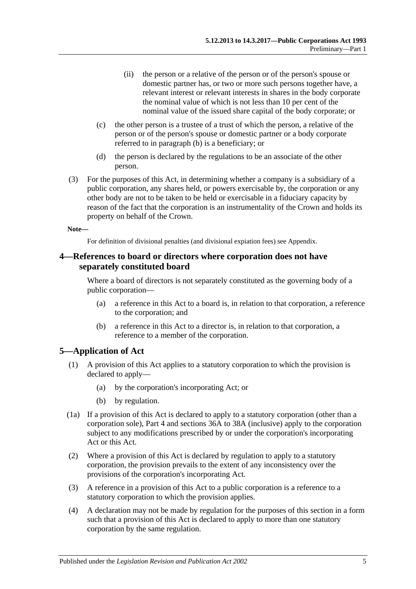- (ii) the person or a relative of the person or of the person's spouse or domestic partner has, or two or more such persons together have, a relevant interest or relevant interests in shares in the body corporate the nominal value of which is not less than 10 per cent of the nominal value of the issued share capital of the body corporate; or
- (c) the other person is a trustee of a trust of which the person, a relative of the person or of the person's spouse or domestic partner or a body corporate referred to in [paragraph](#page-3-1) (b) is a beneficiary; or
- (d) the person is declared by the regulations to be an associate of the other person.
- (3) For the purposes of this Act, in determining whether a company is a subsidiary of a public corporation, any shares held, or powers exercisable by, the corporation or any other body are not to be taken to be held or exercisable in a fiduciary capacity by reason of the fact that the corporation is an instrumentality of the Crown and holds its property on behalf of the Crown.

#### **Note—**

For definition of divisional penalties (and divisional expiation fees) see Appendix.

#### <span id="page-4-0"></span>**4—References to board or directors where corporation does not have separately constituted board**

Where a board of directors is not separately constituted as the governing body of a public corporation—

- (a) a reference in this Act to a board is, in relation to that corporation, a reference to the corporation; and
- (b) a reference in this Act to a director is, in relation to that corporation, a reference to a member of the corporation.

#### <span id="page-4-1"></span>**5—Application of Act**

- (1) A provision of this Act applies to a statutory corporation to which the provision is declared to apply—
	- (a) by the corporation's incorporating Act; or
	- (b) by regulation.
- (1a) If a provision of this Act is declared to apply to a statutory corporation (other than a corporation sole), [Part 4](#page-8-1) and [sections](#page-19-0) 36A to [38A](#page-23-0) (inclusive) apply to the corporation subject to any modifications prescribed by or under the corporation's incorporating Act or this Act.
- (2) Where a provision of this Act is declared by regulation to apply to a statutory corporation, the provision prevails to the extent of any inconsistency over the provisions of the corporation's incorporating Act.
- <span id="page-4-2"></span>(3) A reference in a provision of this Act to a public corporation is a reference to a statutory corporation to which the provision applies.
- (4) A declaration may not be made by regulation for the purposes of this section in a form such that a provision of this Act is declared to apply to more than one statutory corporation by the same regulation.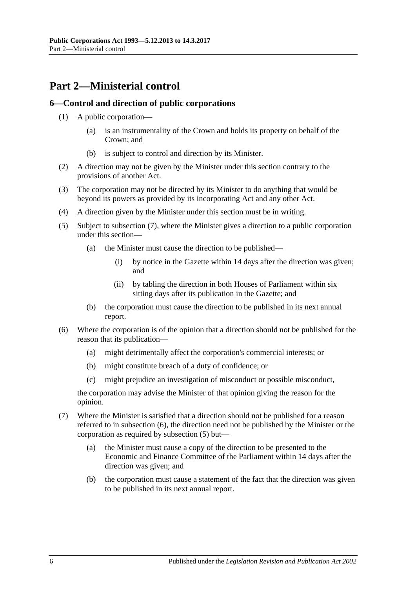# <span id="page-5-0"></span>**Part 2—Ministerial control**

#### <span id="page-5-1"></span>**6—Control and direction of public corporations**

- (1) A public corporation—
	- (a) is an instrumentality of the Crown and holds its property on behalf of the Crown; and
	- (b) is subject to control and direction by its Minister.
- (2) A direction may not be given by the Minister under this section contrary to the provisions of another Act.
- (3) The corporation may not be directed by its Minister to do anything that would be beyond its powers as provided by its incorporating Act and any other Act.
- (4) A direction given by the Minister under this section must be in writing.
- <span id="page-5-4"></span>(5) Subject to [subsection](#page-5-2) (7), where the Minister gives a direction to a public corporation under this section—
	- (a) the Minister must cause the direction to be published—
		- (i) by notice in the Gazette within 14 days after the direction was given; and
		- (ii) by tabling the direction in both Houses of Parliament within six sitting days after its publication in the Gazette; and
	- (b) the corporation must cause the direction to be published in its next annual report.
- <span id="page-5-3"></span>(6) Where the corporation is of the opinion that a direction should not be published for the reason that its publication—
	- (a) might detrimentally affect the corporation's commercial interests; or
	- (b) might constitute breach of a duty of confidence; or
	- (c) might prejudice an investigation of misconduct or possible misconduct,

the corporation may advise the Minister of that opinion giving the reason for the opinion.

- <span id="page-5-2"></span>(7) Where the Minister is satisfied that a direction should not be published for a reason referred to in [subsection](#page-5-3) (6), the direction need not be published by the Minister or the corporation as required by [subsection](#page-5-4) (5) but—
	- (a) the Minister must cause a copy of the direction to be presented to the Economic and Finance Committee of the Parliament within 14 days after the direction was given; and
	- (b) the corporation must cause a statement of the fact that the direction was given to be published in its next annual report.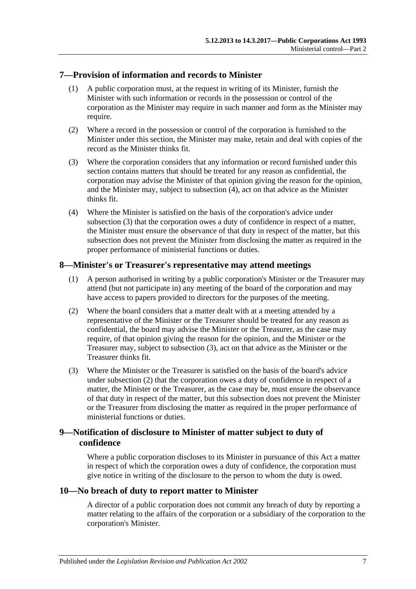#### <span id="page-6-0"></span>**7—Provision of information and records to Minister**

- (1) A public corporation must, at the request in writing of its Minister, furnish the Minister with such information or records in the possession or control of the corporation as the Minister may require in such manner and form as the Minister may require.
- (2) Where a record in the possession or control of the corporation is furnished to the Minister under this section, the Minister may make, retain and deal with copies of the record as the Minister thinks fit.
- <span id="page-6-5"></span>(3) Where the corporation considers that any information or record furnished under this section contains matters that should be treated for any reason as confidential, the corporation may advise the Minister of that opinion giving the reason for the opinion, and the Minister may, subject to [subsection](#page-6-4) (4), act on that advice as the Minister thinks fit.
- <span id="page-6-4"></span>(4) Where the Minister is satisfied on the basis of the corporation's advice under [subsection](#page-6-5) (3) that the corporation owes a duty of confidence in respect of a matter, the Minister must ensure the observance of that duty in respect of the matter, but this subsection does not prevent the Minister from disclosing the matter as required in the proper performance of ministerial functions or duties.

### <span id="page-6-1"></span>**8—Minister's or Treasurer's representative may attend meetings**

- (1) A person authorised in writing by a public corporation's Minister or the Treasurer may attend (but not participate in) any meeting of the board of the corporation and may have access to papers provided to directors for the purposes of the meeting.
- <span id="page-6-7"></span>(2) Where the board considers that a matter dealt with at a meeting attended by a representative of the Minister or the Treasurer should be treated for any reason as confidential, the board may advise the Minister or the Treasurer, as the case may require, of that opinion giving the reason for the opinion, and the Minister or the Treasurer may, subject to [subsection](#page-6-6) (3), act on that advice as the Minister or the Treasurer thinks fit.
- <span id="page-6-6"></span>(3) Where the Minister or the Treasurer is satisfied on the basis of the board's advice under [subsection](#page-6-7) (2) that the corporation owes a duty of confidence in respect of a matter, the Minister or the Treasurer, as the case may be, must ensure the observance of that duty in respect of the matter, but this subsection does not prevent the Minister or the Treasurer from disclosing the matter as required in the proper performance of ministerial functions or duties.

## <span id="page-6-2"></span>**9—Notification of disclosure to Minister of matter subject to duty of confidence**

Where a public corporation discloses to its Minister in pursuance of this Act a matter in respect of which the corporation owes a duty of confidence, the corporation must give notice in writing of the disclosure to the person to whom the duty is owed.

#### <span id="page-6-3"></span>**10—No breach of duty to report matter to Minister**

A director of a public corporation does not commit any breach of duty by reporting a matter relating to the affairs of the corporation or a subsidiary of the corporation to the corporation's Minister.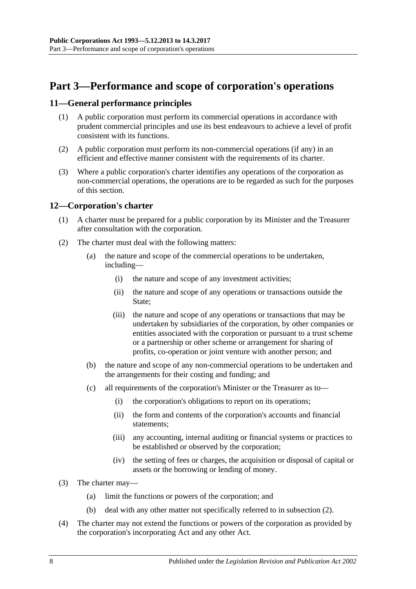# <span id="page-7-0"></span>**Part 3—Performance and scope of corporation's operations**

#### <span id="page-7-1"></span>**11—General performance principles**

- (1) A public corporation must perform its commercial operations in accordance with prudent commercial principles and use its best endeavours to achieve a level of profit consistent with its functions.
- (2) A public corporation must perform its non-commercial operations (if any) in an efficient and effective manner consistent with the requirements of its charter.
- (3) Where a public corporation's charter identifies any operations of the corporation as non-commercial operations, the operations are to be regarded as such for the purposes of this section.

#### <span id="page-7-2"></span>**12—Corporation's charter**

- (1) A charter must be prepared for a public corporation by its Minister and the Treasurer after consultation with the corporation.
- <span id="page-7-3"></span>(2) The charter must deal with the following matters:
	- (a) the nature and scope of the commercial operations to be undertaken, including—
		- (i) the nature and scope of any investment activities;
		- (ii) the nature and scope of any operations or transactions outside the State:
		- (iii) the nature and scope of any operations or transactions that may be undertaken by subsidiaries of the corporation, by other companies or entities associated with the corporation or pursuant to a trust scheme or a partnership or other scheme or arrangement for sharing of profits, co-operation or joint venture with another person; and
	- (b) the nature and scope of any non-commercial operations to be undertaken and the arrangements for their costing and funding; and
	- (c) all requirements of the corporation's Minister or the Treasurer as to—
		- (i) the corporation's obligations to report on its operations;
		- (ii) the form and contents of the corporation's accounts and financial statements;
		- (iii) any accounting, internal auditing or financial systems or practices to be established or observed by the corporation;
		- (iv) the setting of fees or charges, the acquisition or disposal of capital or assets or the borrowing or lending of money.
- (3) The charter may—
	- (a) limit the functions or powers of the corporation; and
	- (b) deal with any other matter not specifically referred to in [subsection](#page-7-3) (2).
- (4) The charter may not extend the functions or powers of the corporation as provided by the corporation's incorporating Act and any other Act.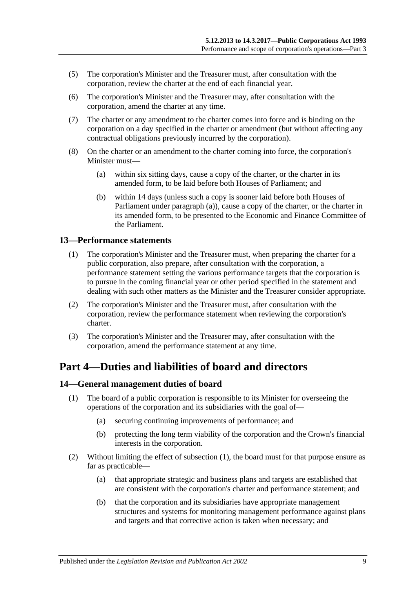- (5) The corporation's Minister and the Treasurer must, after consultation with the corporation, review the charter at the end of each financial year.
- (6) The corporation's Minister and the Treasurer may, after consultation with the corporation, amend the charter at any time.
- (7) The charter or any amendment to the charter comes into force and is binding on the corporation on a day specified in the charter or amendment (but without affecting any contractual obligations previously incurred by the corporation).
- <span id="page-8-3"></span>(8) On the charter or an amendment to the charter coming into force, the corporation's Minister must—
	- (a) within six sitting days, cause a copy of the charter, or the charter in its amended form, to be laid before both Houses of Parliament; and
	- (b) within 14 days (unless such a copy is sooner laid before both Houses of Parliament under [paragraph](#page-8-3) (a)), cause a copy of the charter, or the charter in its amended form, to be presented to the Economic and Finance Committee of the Parliament.

#### <span id="page-8-0"></span>**13—Performance statements**

- (1) The corporation's Minister and the Treasurer must, when preparing the charter for a public corporation, also prepare, after consultation with the corporation, a performance statement setting the various performance targets that the corporation is to pursue in the coming financial year or other period specified in the statement and dealing with such other matters as the Minister and the Treasurer consider appropriate.
- (2) The corporation's Minister and the Treasurer must, after consultation with the corporation, review the performance statement when reviewing the corporation's charter.
- (3) The corporation's Minister and the Treasurer may, after consultation with the corporation, amend the performance statement at any time.

## <span id="page-8-1"></span>**Part 4—Duties and liabilities of board and directors**

#### <span id="page-8-4"></span><span id="page-8-2"></span>**14—General management duties of board**

- (1) The board of a public corporation is responsible to its Minister for overseeing the operations of the corporation and its subsidiaries with the goal of—
	- (a) securing continuing improvements of performance; and
	- (b) protecting the long term viability of the corporation and the Crown's financial interests in the corporation.
- (2) Without limiting the effect of [subsection](#page-8-4) (1), the board must for that purpose ensure as far as practicable—
	- (a) that appropriate strategic and business plans and targets are established that are consistent with the corporation's charter and performance statement; and
	- (b) that the corporation and its subsidiaries have appropriate management structures and systems for monitoring management performance against plans and targets and that corrective action is taken when necessary; and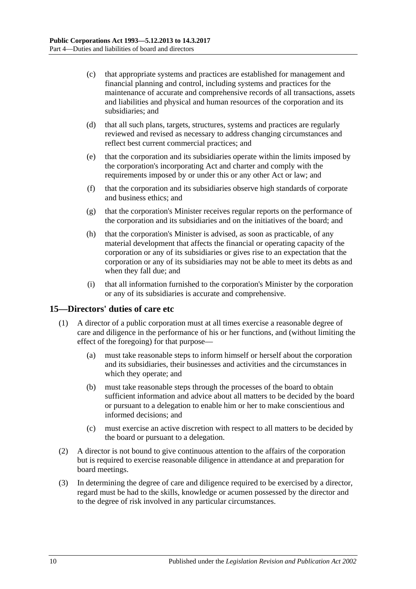- (c) that appropriate systems and practices are established for management and financial planning and control, including systems and practices for the maintenance of accurate and comprehensive records of all transactions, assets and liabilities and physical and human resources of the corporation and its subsidiaries; and
- (d) that all such plans, targets, structures, systems and practices are regularly reviewed and revised as necessary to address changing circumstances and reflect best current commercial practices; and
- (e) that the corporation and its subsidiaries operate within the limits imposed by the corporation's incorporating Act and charter and comply with the requirements imposed by or under this or any other Act or law; and
- (f) that the corporation and its subsidiaries observe high standards of corporate and business ethics; and
- (g) that the corporation's Minister receives regular reports on the performance of the corporation and its subsidiaries and on the initiatives of the board; and
- (h) that the corporation's Minister is advised, as soon as practicable, of any material development that affects the financial or operating capacity of the corporation or any of its subsidiaries or gives rise to an expectation that the corporation or any of its subsidiaries may not be able to meet its debts as and when they fall due; and
- (i) that all information furnished to the corporation's Minister by the corporation or any of its subsidiaries is accurate and comprehensive.

#### <span id="page-9-0"></span>**15—Directors' duties of care etc**

- (1) A director of a public corporation must at all times exercise a reasonable degree of care and diligence in the performance of his or her functions, and (without limiting the effect of the foregoing) for that purpose—
	- (a) must take reasonable steps to inform himself or herself about the corporation and its subsidiaries, their businesses and activities and the circumstances in which they operate; and
	- (b) must take reasonable steps through the processes of the board to obtain sufficient information and advice about all matters to be decided by the board or pursuant to a delegation to enable him or her to make conscientious and informed decisions; and
	- (c) must exercise an active discretion with respect to all matters to be decided by the board or pursuant to a delegation.
- (2) A director is not bound to give continuous attention to the affairs of the corporation but is required to exercise reasonable diligence in attendance at and preparation for board meetings.
- (3) In determining the degree of care and diligence required to be exercised by a director, regard must be had to the skills, knowledge or acumen possessed by the director and to the degree of risk involved in any particular circumstances.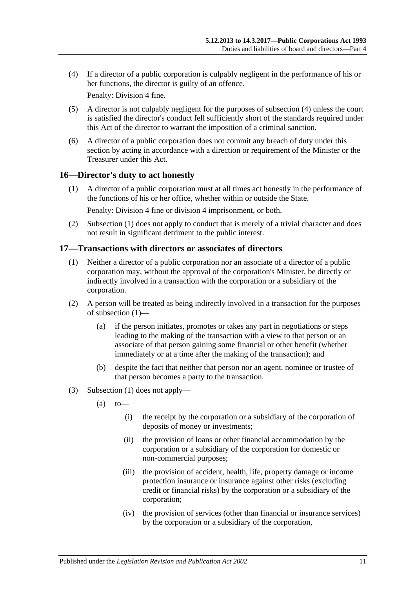<span id="page-10-2"></span>(4) If a director of a public corporation is culpably negligent in the performance of his or her functions, the director is guilty of an offence.

Penalty: Division 4 fine.

- (5) A director is not culpably negligent for the purposes of [subsection](#page-10-2) (4) unless the court is satisfied the director's conduct fell sufficiently short of the standards required under this Act of the director to warrant the imposition of a criminal sanction.
- (6) A director of a public corporation does not commit any breach of duty under this section by acting in accordance with a direction or requirement of the Minister or the Treasurer under this Act.

#### <span id="page-10-3"></span><span id="page-10-0"></span>**16—Director's duty to act honestly**

(1) A director of a public corporation must at all times act honestly in the performance of the functions of his or her office, whether within or outside the State.

Penalty: Division 4 fine or division 4 imprisonment, or both.

(2) [Subsection](#page-10-3) (1) does not apply to conduct that is merely of a trivial character and does not result in significant detriment to the public interest.

## <span id="page-10-4"></span><span id="page-10-1"></span>**17—Transactions with directors or associates of directors**

- (1) Neither a director of a public corporation nor an associate of a director of a public corporation may, without the approval of the corporation's Minister, be directly or indirectly involved in a transaction with the corporation or a subsidiary of the corporation.
- (2) A person will be treated as being indirectly involved in a transaction for the purposes of [subsection](#page-10-4) (1)—
	- (a) if the person initiates, promotes or takes any part in negotiations or steps leading to the making of the transaction with a view to that person or an associate of that person gaining some financial or other benefit (whether immediately or at a time after the making of the transaction); and
	- (b) despite the fact that neither that person nor an agent, nominee or trustee of that person becomes a party to the transaction.
- (3) [Subsection](#page-10-4) (1) does not apply—
	- $(a)$  to
		- (i) the receipt by the corporation or a subsidiary of the corporation of deposits of money or investments;
		- (ii) the provision of loans or other financial accommodation by the corporation or a subsidiary of the corporation for domestic or non-commercial purposes;
		- (iii) the provision of accident, health, life, property damage or income protection insurance or insurance against other risks (excluding credit or financial risks) by the corporation or a subsidiary of the corporation;
		- (iv) the provision of services (other than financial or insurance services) by the corporation or a subsidiary of the corporation,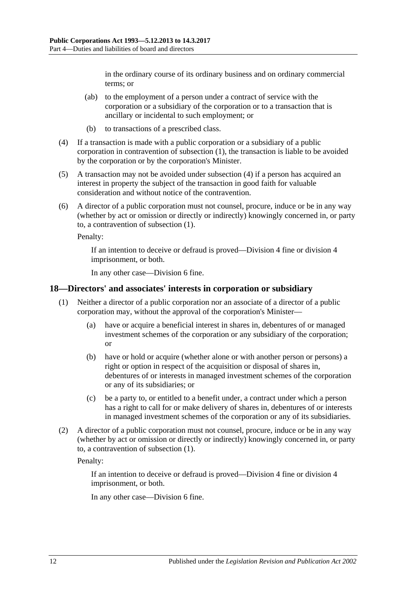in the ordinary course of its ordinary business and on ordinary commercial terms; or

- (ab) to the employment of a person under a contract of service with the corporation or a subsidiary of the corporation or to a transaction that is ancillary or incidental to such employment; or
- (b) to transactions of a prescribed class.
- <span id="page-11-1"></span>(4) If a transaction is made with a public corporation or a subsidiary of a public corporation in contravention of [subsection](#page-10-4) (1), the transaction is liable to be avoided by the corporation or by the corporation's Minister.
- (5) A transaction may not be avoided under [subsection](#page-11-1) (4) if a person has acquired an interest in property the subject of the transaction in good faith for valuable consideration and without notice of the contravention.
- (6) A director of a public corporation must not counsel, procure, induce or be in any way (whether by act or omission or directly or indirectly) knowingly concerned in, or party to, a contravention of [subsection](#page-10-4) (1).

Penalty:

If an intention to deceive or defraud is proved—Division 4 fine or division 4 imprisonment, or both.

In any other case—Division 6 fine.

#### <span id="page-11-2"></span><span id="page-11-0"></span>**18—Directors' and associates' interests in corporation or subsidiary**

- (1) Neither a director of a public corporation nor an associate of a director of a public corporation may, without the approval of the corporation's Minister—
	- (a) have or acquire a beneficial interest in shares in, debentures of or managed investment schemes of the corporation or any subsidiary of the corporation; or
	- (b) have or hold or acquire (whether alone or with another person or persons) a right or option in respect of the acquisition or disposal of shares in, debentures of or interests in managed investment schemes of the corporation or any of its subsidiaries; or
	- (c) be a party to, or entitled to a benefit under, a contract under which a person has a right to call for or make delivery of shares in, debentures of or interests in managed investment schemes of the corporation or any of its subsidiaries.
- (2) A director of a public corporation must not counsel, procure, induce or be in any way (whether by act or omission or directly or indirectly) knowingly concerned in, or party to, a contravention of [subsection](#page-11-2) (1).

Penalty:

If an intention to deceive or defraud is proved—Division 4 fine or division 4 imprisonment, or both.

In any other case—Division 6 fine.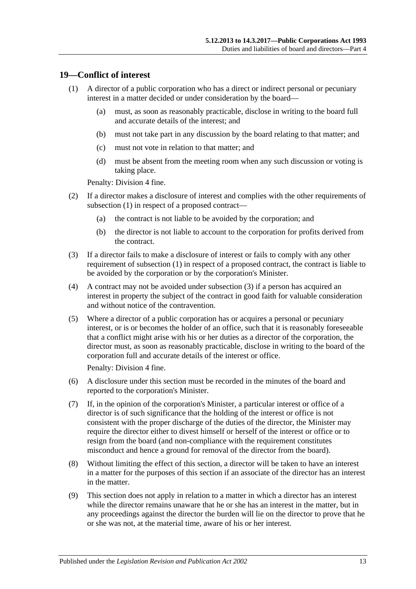#### <span id="page-12-1"></span><span id="page-12-0"></span>**19—Conflict of interest**

- (1) A director of a public corporation who has a direct or indirect personal or pecuniary interest in a matter decided or under consideration by the board—
	- (a) must, as soon as reasonably practicable, disclose in writing to the board full and accurate details of the interest; and
	- (b) must not take part in any discussion by the board relating to that matter; and
	- (c) must not vote in relation to that matter; and
	- (d) must be absent from the meeting room when any such discussion or voting is taking place.

Penalty: Division 4 fine.

- (2) If a director makes a disclosure of interest and complies with the other requirements of [subsection](#page-12-1) (1) in respect of a proposed contract—
	- (a) the contract is not liable to be avoided by the corporation; and
	- (b) the director is not liable to account to the corporation for profits derived from the contract.
- <span id="page-12-2"></span>(3) If a director fails to make a disclosure of interest or fails to comply with any other requirement of [subsection](#page-12-1) (1) in respect of a proposed contract, the contract is liable to be avoided by the corporation or by the corporation's Minister.
- (4) A contract may not be avoided under [subsection](#page-12-2) (3) if a person has acquired an interest in property the subject of the contract in good faith for valuable consideration and without notice of the contravention.
- (5) Where a director of a public corporation has or acquires a personal or pecuniary interest, or is or becomes the holder of an office, such that it is reasonably foreseeable that a conflict might arise with his or her duties as a director of the corporation, the director must, as soon as reasonably practicable, disclose in writing to the board of the corporation full and accurate details of the interest or office.

Penalty: Division 4 fine.

- (6) A disclosure under this section must be recorded in the minutes of the board and reported to the corporation's Minister.
- (7) If, in the opinion of the corporation's Minister, a particular interest or office of a director is of such significance that the holding of the interest or office is not consistent with the proper discharge of the duties of the director, the Minister may require the director either to divest himself or herself of the interest or office or to resign from the board (and non-compliance with the requirement constitutes misconduct and hence a ground for removal of the director from the board).
- (8) Without limiting the effect of this section, a director will be taken to have an interest in a matter for the purposes of this section if an associate of the director has an interest in the matter.
- (9) This section does not apply in relation to a matter in which a director has an interest while the director remains unaware that he or she has an interest in the matter, but in any proceedings against the director the burden will lie on the director to prove that he or she was not, at the material time, aware of his or her interest.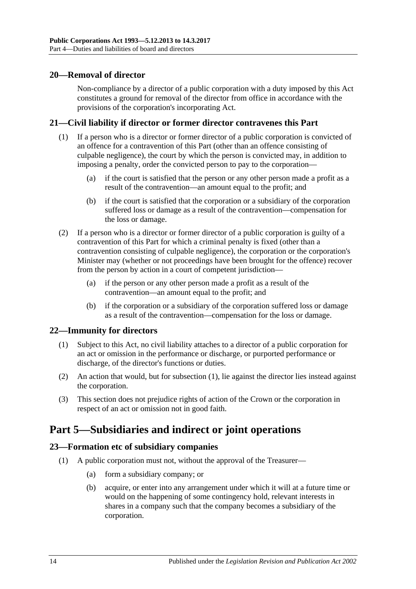#### <span id="page-13-0"></span>**20—Removal of director**

Non-compliance by a director of a public corporation with a duty imposed by this Act constitutes a ground for removal of the director from office in accordance with the provisions of the corporation's incorporating Act.

#### <span id="page-13-1"></span>**21—Civil liability if director or former director contravenes this Part**

- (1) If a person who is a director or former director of a public corporation is convicted of an offence for a contravention of this Part (other than an offence consisting of culpable negligence), the court by which the person is convicted may, in addition to imposing a penalty, order the convicted person to pay to the corporation—
	- (a) if the court is satisfied that the person or any other person made a profit as a result of the contravention—an amount equal to the profit; and
	- (b) if the court is satisfied that the corporation or a subsidiary of the corporation suffered loss or damage as a result of the contravention—compensation for the loss or damage.
- (2) If a person who is a director or former director of a public corporation is guilty of a contravention of this Part for which a criminal penalty is fixed (other than a contravention consisting of culpable negligence), the corporation or the corporation's Minister may (whether or not proceedings have been brought for the offence) recover from the person by action in a court of competent jurisdiction—
	- (a) if the person or any other person made a profit as a result of the contravention—an amount equal to the profit; and
	- (b) if the corporation or a subsidiary of the corporation suffered loss or damage as a result of the contravention—compensation for the loss or damage.

## <span id="page-13-5"></span><span id="page-13-2"></span>**22—Immunity for directors**

- (1) Subject to this Act, no civil liability attaches to a director of a public corporation for an act or omission in the performance or discharge, or purported performance or discharge, of the director's functions or duties.
- (2) An action that would, but for [subsection](#page-13-5) (1), lie against the director lies instead against the corporation.
- (3) This section does not prejudice rights of action of the Crown or the corporation in respect of an act or omission not in good faith.

# <span id="page-13-3"></span>**Part 5—Subsidiaries and indirect or joint operations**

## <span id="page-13-4"></span>**23—Formation etc of subsidiary companies**

- (1) A public corporation must not, without the approval of the Treasurer—
	- (a) form a subsidiary company; or
	- (b) acquire, or enter into any arrangement under which it will at a future time or would on the happening of some contingency hold, relevant interests in shares in a company such that the company becomes a subsidiary of the corporation.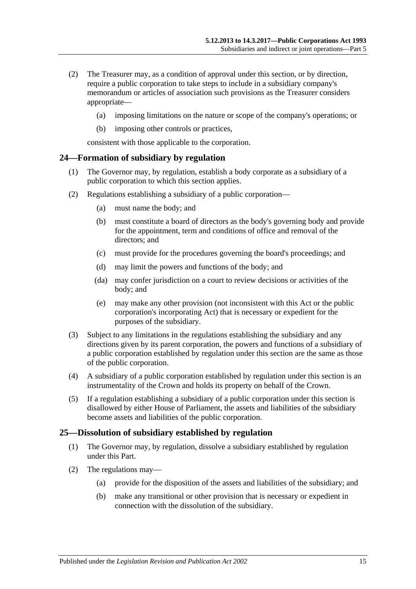- (2) The Treasurer may, as a condition of approval under this section, or by direction, require a public corporation to take steps to include in a subsidiary company's memorandum or articles of association such provisions as the Treasurer considers appropriate—
	- (a) imposing limitations on the nature or scope of the company's operations; or
	- (b) imposing other controls or practices,

consistent with those applicable to the corporation.

#### <span id="page-14-0"></span>**24—Formation of subsidiary by regulation**

- (1) The Governor may, by regulation, establish a body corporate as a subsidiary of a public corporation to which this section applies.
- (2) Regulations establishing a subsidiary of a public corporation—
	- (a) must name the body; and
	- (b) must constitute a board of directors as the body's governing body and provide for the appointment, term and conditions of office and removal of the directors; and
	- (c) must provide for the procedures governing the board's proceedings; and
	- (d) may limit the powers and functions of the body; and
	- (da) may confer jurisdiction on a court to review decisions or activities of the body; and
	- (e) may make any other provision (not inconsistent with this Act or the public corporation's incorporating Act) that is necessary or expedient for the purposes of the subsidiary.
- (3) Subject to any limitations in the regulations establishing the subsidiary and any directions given by its parent corporation, the powers and functions of a subsidiary of a public corporation established by regulation under this section are the same as those of the public corporation.
- (4) A subsidiary of a public corporation established by regulation under this section is an instrumentality of the Crown and holds its property on behalf of the Crown.
- (5) If a regulation establishing a subsidiary of a public corporation under this section is disallowed by either House of Parliament, the assets and liabilities of the subsidiary become assets and liabilities of the public corporation.

#### <span id="page-14-1"></span>**25—Dissolution of subsidiary established by regulation**

- (1) The Governor may, by regulation, dissolve a subsidiary established by regulation under this Part.
- <span id="page-14-2"></span>(2) The regulations may—
	- (a) provide for the disposition of the assets and liabilities of the subsidiary; and
	- (b) make any transitional or other provision that is necessary or expedient in connection with the dissolution of the subsidiary.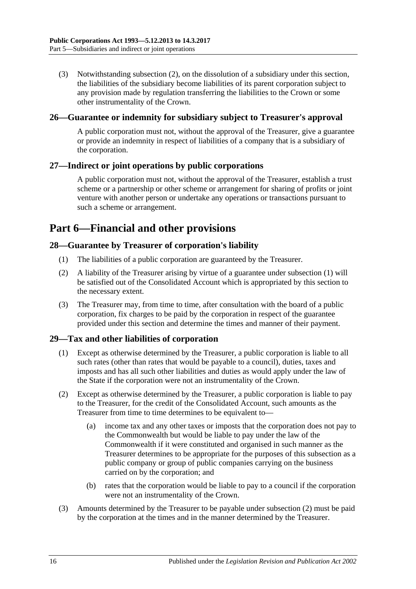(3) Notwithstanding [subsection](#page-14-2) (2), on the dissolution of a subsidiary under this section, the liabilities of the subsidiary become liabilities of its parent corporation subject to any provision made by regulation transferring the liabilities to the Crown or some other instrumentality of the Crown.

#### <span id="page-15-0"></span>**26—Guarantee or indemnity for subsidiary subject to Treasurer's approval**

A public corporation must not, without the approval of the Treasurer, give a guarantee or provide an indemnity in respect of liabilities of a company that is a subsidiary of the corporation.

### <span id="page-15-1"></span>**27—Indirect or joint operations by public corporations**

A public corporation must not, without the approval of the Treasurer, establish a trust scheme or a partnership or other scheme or arrangement for sharing of profits or joint venture with another person or undertake any operations or transactions pursuant to such a scheme or arrangement.

# <span id="page-15-2"></span>**Part 6—Financial and other provisions**

#### <span id="page-15-5"></span><span id="page-15-3"></span>**28—Guarantee by Treasurer of corporation's liability**

- (1) The liabilities of a public corporation are guaranteed by the Treasurer.
- (2) A liability of the Treasurer arising by virtue of a guarantee under [subsection](#page-15-5) (1) will be satisfied out of the Consolidated Account which is appropriated by this section to the necessary extent.
- (3) The Treasurer may, from time to time, after consultation with the board of a public corporation, fix charges to be paid by the corporation in respect of the guarantee provided under this section and determine the times and manner of their payment.

## <span id="page-15-4"></span>**29—Tax and other liabilities of corporation**

- (1) Except as otherwise determined by the Treasurer, a public corporation is liable to all such rates (other than rates that would be payable to a council), duties, taxes and imposts and has all such other liabilities and duties as would apply under the law of the State if the corporation were not an instrumentality of the Crown.
- <span id="page-15-6"></span>(2) Except as otherwise determined by the Treasurer, a public corporation is liable to pay to the Treasurer, for the credit of the Consolidated Account, such amounts as the Treasurer from time to time determines to be equivalent to—
	- (a) income tax and any other taxes or imposts that the corporation does not pay to the Commonwealth but would be liable to pay under the law of the Commonwealth if it were constituted and organised in such manner as the Treasurer determines to be appropriate for the purposes of this subsection as a public company or group of public companies carrying on the business carried on by the corporation; and
	- (b) rates that the corporation would be liable to pay to a council if the corporation were not an instrumentality of the Crown.
- (3) Amounts determined by the Treasurer to be payable under [subsection](#page-15-6) (2) must be paid by the corporation at the times and in the manner determined by the Treasurer.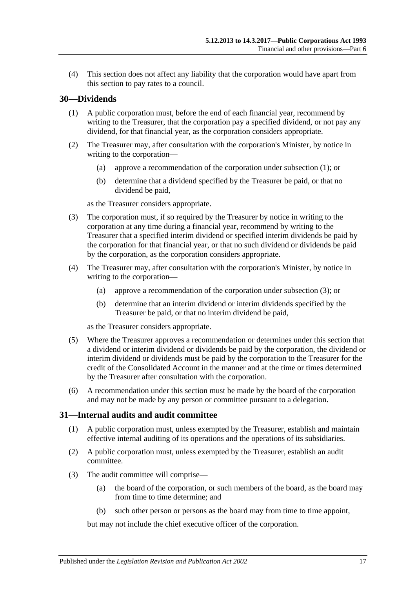(4) This section does not affect any liability that the corporation would have apart from this section to pay rates to a council.

#### <span id="page-16-2"></span><span id="page-16-0"></span>**30—Dividends**

- (1) A public corporation must, before the end of each financial year, recommend by writing to the Treasurer, that the corporation pay a specified dividend, or not pay any dividend, for that financial year, as the corporation considers appropriate.
- (2) The Treasurer may, after consultation with the corporation's Minister, by notice in writing to the corporation—
	- (a) approve a recommendation of the corporation under [subsection](#page-16-2) (1); or
	- (b) determine that a dividend specified by the Treasurer be paid, or that no dividend be paid,

as the Treasurer considers appropriate.

- <span id="page-16-3"></span>(3) The corporation must, if so required by the Treasurer by notice in writing to the corporation at any time during a financial year, recommend by writing to the Treasurer that a specified interim dividend or specified interim dividends be paid by the corporation for that financial year, or that no such dividend or dividends be paid by the corporation, as the corporation considers appropriate.
- (4) The Treasurer may, after consultation with the corporation's Minister, by notice in writing to the corporation—
	- (a) approve a recommendation of the corporation under [subsection](#page-16-3) (3); or
	- (b) determine that an interim dividend or interim dividends specified by the Treasurer be paid, or that no interim dividend be paid,

as the Treasurer considers appropriate.

- (5) Where the Treasurer approves a recommendation or determines under this section that a dividend or interim dividend or dividends be paid by the corporation, the dividend or interim dividend or dividends must be paid by the corporation to the Treasurer for the credit of the Consolidated Account in the manner and at the time or times determined by the Treasurer after consultation with the corporation.
- (6) A recommendation under this section must be made by the board of the corporation and may not be made by any person or committee pursuant to a delegation.

#### <span id="page-16-1"></span>**31—Internal audits and audit committee**

- (1) A public corporation must, unless exempted by the Treasurer, establish and maintain effective internal auditing of its operations and the operations of its subsidiaries.
- (2) A public corporation must, unless exempted by the Treasurer, establish an audit committee.
- (3) The audit committee will comprise—
	- (a) the board of the corporation, or such members of the board, as the board may from time to time determine; and
	- (b) such other person or persons as the board may from time to time appoint,

but may not include the chief executive officer of the corporation.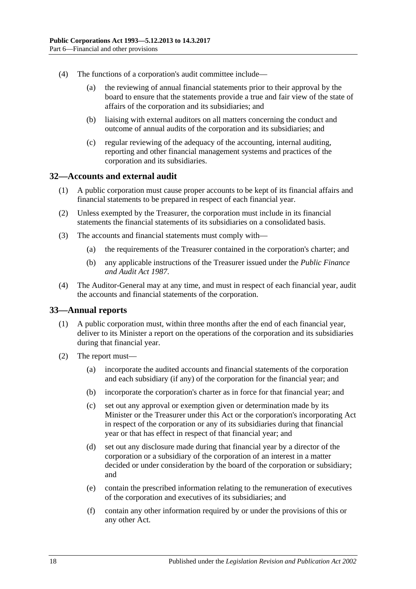- (4) The functions of a corporation's audit committee include—
	- (a) the reviewing of annual financial statements prior to their approval by the board to ensure that the statements provide a true and fair view of the state of affairs of the corporation and its subsidiaries; and
	- (b) liaising with external auditors on all matters concerning the conduct and outcome of annual audits of the corporation and its subsidiaries; and
	- (c) regular reviewing of the adequacy of the accounting, internal auditing, reporting and other financial management systems and practices of the corporation and its subsidiaries.

#### <span id="page-17-0"></span>**32—Accounts and external audit**

- (1) A public corporation must cause proper accounts to be kept of its financial affairs and financial statements to be prepared in respect of each financial year.
- (2) Unless exempted by the Treasurer, the corporation must include in its financial statements the financial statements of its subsidiaries on a consolidated basis.
- (3) The accounts and financial statements must comply with—
	- (a) the requirements of the Treasurer contained in the corporation's charter; and
	- (b) any applicable instructions of the Treasurer issued under the *[Public Finance](http://www.legislation.sa.gov.au/index.aspx?action=legref&type=act&legtitle=Public%20Finance%20and%20Audit%20Act%201987)  [and Audit Act](http://www.legislation.sa.gov.au/index.aspx?action=legref&type=act&legtitle=Public%20Finance%20and%20Audit%20Act%201987) 1987*.
- (4) The Auditor-General may at any time, and must in respect of each financial year, audit the accounts and financial statements of the corporation.

#### <span id="page-17-1"></span>**33—Annual reports**

- (1) A public corporation must, within three months after the end of each financial year, deliver to its Minister a report on the operations of the corporation and its subsidiaries during that financial year.
- (2) The report must—
	- (a) incorporate the audited accounts and financial statements of the corporation and each subsidiary (if any) of the corporation for the financial year; and
	- (b) incorporate the corporation's charter as in force for that financial year; and
	- (c) set out any approval or exemption given or determination made by its Minister or the Treasurer under this Act or the corporation's incorporating Act in respect of the corporation or any of its subsidiaries during that financial year or that has effect in respect of that financial year; and
	- (d) set out any disclosure made during that financial year by a director of the corporation or a subsidiary of the corporation of an interest in a matter decided or under consideration by the board of the corporation or subsidiary; and
	- (e) contain the prescribed information relating to the remuneration of executives of the corporation and executives of its subsidiaries; and
	- (f) contain any other information required by or under the provisions of this or any other Act.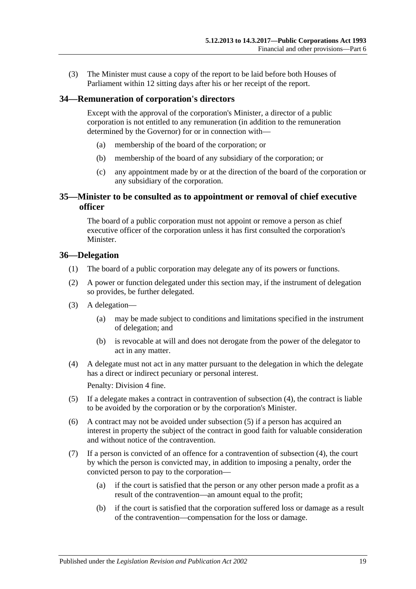(3) The Minister must cause a copy of the report to be laid before both Houses of Parliament within 12 sitting days after his or her receipt of the report.

#### <span id="page-18-0"></span>**34—Remuneration of corporation's directors**

Except with the approval of the corporation's Minister, a director of a public corporation is not entitled to any remuneration (in addition to the remuneration determined by the Governor) for or in connection with—

- (a) membership of the board of the corporation; or
- (b) membership of the board of any subsidiary of the corporation; or
- (c) any appointment made by or at the direction of the board of the corporation or any subsidiary of the corporation.

#### <span id="page-18-1"></span>**35—Minister to be consulted as to appointment or removal of chief executive officer**

The board of a public corporation must not appoint or remove a person as chief executive officer of the corporation unless it has first consulted the corporation's Minister.

#### <span id="page-18-2"></span>**36—Delegation**

- (1) The board of a public corporation may delegate any of its powers or functions.
- (2) A power or function delegated under this section may, if the instrument of delegation so provides, be further delegated.
- (3) A delegation—
	- (a) may be made subject to conditions and limitations specified in the instrument of delegation; and
	- (b) is revocable at will and does not derogate from the power of the delegator to act in any matter.
- <span id="page-18-3"></span>(4) A delegate must not act in any matter pursuant to the delegation in which the delegate has a direct or indirect pecuniary or personal interest.

Penalty: Division 4 fine.

- <span id="page-18-4"></span>(5) If a delegate makes a contract in contravention of [subsection](#page-18-3) (4), the contract is liable to be avoided by the corporation or by the corporation's Minister.
- (6) A contract may not be avoided under [subsection](#page-18-4) (5) if a person has acquired an interest in property the subject of the contract in good faith for valuable consideration and without notice of the contravention.
- (7) If a person is convicted of an offence for a contravention of [subsection](#page-18-3) (4), the court by which the person is convicted may, in addition to imposing a penalty, order the convicted person to pay to the corporation—
	- (a) if the court is satisfied that the person or any other person made a profit as a result of the contravention—an amount equal to the profit;
	- (b) if the court is satisfied that the corporation suffered loss or damage as a result of the contravention—compensation for the loss or damage.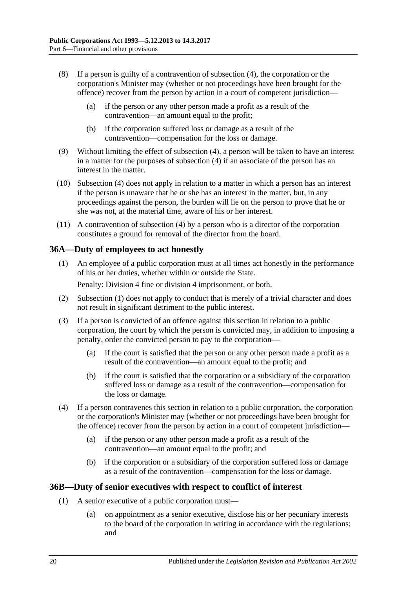- (8) If a person is guilty of a contravention of [subsection](#page-18-3) (4), the corporation or the corporation's Minister may (whether or not proceedings have been brought for the offence) recover from the person by action in a court of competent jurisdiction—
	- (a) if the person or any other person made a profit as a result of the contravention—an amount equal to the profit;
	- (b) if the corporation suffered loss or damage as a result of the contravention—compensation for the loss or damage.
- (9) Without limiting the effect of [subsection](#page-18-3) (4), a person will be taken to have an interest in a matter for the purposes of [subsection](#page-18-3) (4) if an associate of the person has an interest in the matter.
- (10) [Subsection](#page-18-3) (4) does not apply in relation to a matter in which a person has an interest if the person is unaware that he or she has an interest in the matter, but, in any proceedings against the person, the burden will lie on the person to prove that he or she was not, at the material time, aware of his or her interest.
- (11) A contravention of [subsection](#page-18-3) (4) by a person who is a director of the corporation constitutes a ground for removal of the director from the board.

### <span id="page-19-2"></span><span id="page-19-0"></span>**36A—Duty of employees to act honestly**

(1) An employee of a public corporation must at all times act honestly in the performance of his or her duties, whether within or outside the State.

Penalty: Division 4 fine or division 4 imprisonment, or both.

- (2) [Subsection](#page-19-2) (1) does not apply to conduct that is merely of a trivial character and does not result in significant detriment to the public interest.
- (3) If a person is convicted of an offence against this section in relation to a public corporation, the court by which the person is convicted may, in addition to imposing a penalty, order the convicted person to pay to the corporation—
	- (a) if the court is satisfied that the person or any other person made a profit as a result of the contravention—an amount equal to the profit; and
	- (b) if the court is satisfied that the corporation or a subsidiary of the corporation suffered loss or damage as a result of the contravention—compensation for the loss or damage.
- (4) If a person contravenes this section in relation to a public corporation, the corporation or the corporation's Minister may (whether or not proceedings have been brought for the offence) recover from the person by action in a court of competent jurisdiction—
	- (a) if the person or any other person made a profit as a result of the contravention—an amount equal to the profit; and
	- (b) if the corporation or a subsidiary of the corporation suffered loss or damage as a result of the contravention—compensation for the loss or damage.

#### <span id="page-19-4"></span><span id="page-19-1"></span>**36B—Duty of senior executives with respect to conflict of interest**

- <span id="page-19-3"></span>(1) A senior executive of a public corporation must—
	- (a) on appointment as a senior executive, disclose his or her pecuniary interests to the board of the corporation in writing in accordance with the regulations; and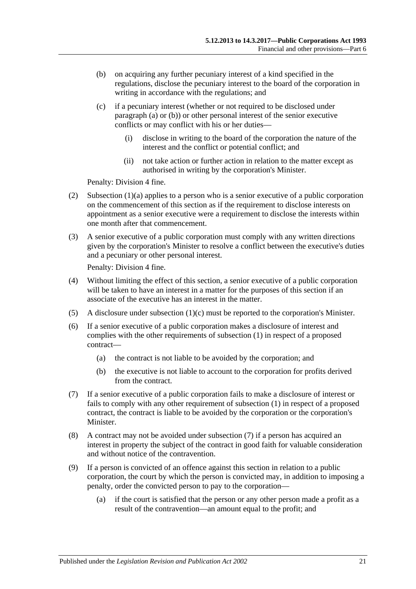- <span id="page-20-0"></span>(b) on acquiring any further pecuniary interest of a kind specified in the regulations, disclose the pecuniary interest to the board of the corporation in writing in accordance with the regulations; and
- <span id="page-20-1"></span>(c) if a pecuniary interest (whether or not required to be disclosed under [paragraph](#page-19-3) (a) or [\(b\)\)](#page-20-0) or other personal interest of the senior executive conflicts or may conflict with his or her duties—
	- (i) disclose in writing to the board of the corporation the nature of the interest and the conflict or potential conflict; and
	- (ii) not take action or further action in relation to the matter except as authorised in writing by the corporation's Minister.

Penalty: Division 4 fine.

- (2) [Subsection](#page-19-3)  $(1)(a)$  applies to a person who is a senior executive of a public corporation on the commencement of this section as if the requirement to disclose interests on appointment as a senior executive were a requirement to disclose the interests within one month after that commencement.
- (3) A senior executive of a public corporation must comply with any written directions given by the corporation's Minister to resolve a conflict between the executive's duties and a pecuniary or other personal interest.

Penalty: Division 4 fine.

- (4) Without limiting the effect of this section, a senior executive of a public corporation will be taken to have an interest in a matter for the purposes of this section if an associate of the executive has an interest in the matter.
- (5) A disclosure under [subsection](#page-20-1) (1)(c) must be reported to the corporation's Minister.
- (6) If a senior executive of a public corporation makes a disclosure of interest and complies with the other requirements of [subsection](#page-19-4) (1) in respect of a proposed contract—
	- (a) the contract is not liable to be avoided by the corporation; and
	- (b) the executive is not liable to account to the corporation for profits derived from the contract.
- <span id="page-20-2"></span>(7) If a senior executive of a public corporation fails to make a disclosure of interest or fails to comply with any other requirement of [subsection](#page-19-4) (1) in respect of a proposed contract, the contract is liable to be avoided by the corporation or the corporation's Minister.
- (8) A contract may not be avoided under [subsection](#page-20-2) (7) if a person has acquired an interest in property the subject of the contract in good faith for valuable consideration and without notice of the contravention.
- (9) If a person is convicted of an offence against this section in relation to a public corporation, the court by which the person is convicted may, in addition to imposing a penalty, order the convicted person to pay to the corporation—
	- (a) if the court is satisfied that the person or any other person made a profit as a result of the contravention—an amount equal to the profit; and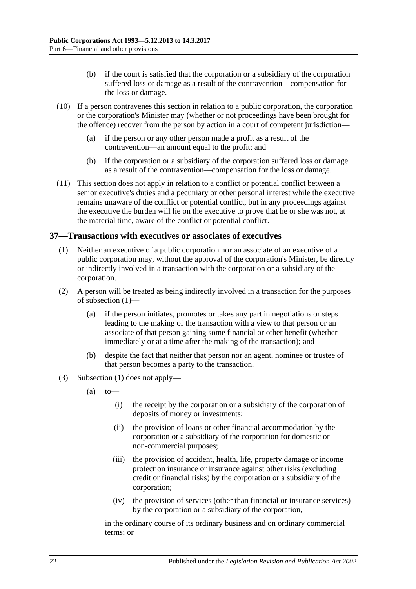- (b) if the court is satisfied that the corporation or a subsidiary of the corporation suffered loss or damage as a result of the contravention—compensation for the loss or damage.
- (10) If a person contravenes this section in relation to a public corporation, the corporation or the corporation's Minister may (whether or not proceedings have been brought for the offence) recover from the person by action in a court of competent jurisdiction—
	- (a) if the person or any other person made a profit as a result of the contravention—an amount equal to the profit; and
	- (b) if the corporation or a subsidiary of the corporation suffered loss or damage as a result of the contravention—compensation for the loss or damage.
- (11) This section does not apply in relation to a conflict or potential conflict between a senior executive's duties and a pecuniary or other personal interest while the executive remains unaware of the conflict or potential conflict, but in any proceedings against the executive the burden will lie on the executive to prove that he or she was not, at the material time, aware of the conflict or potential conflict.

#### <span id="page-21-1"></span><span id="page-21-0"></span>**37—Transactions with executives or associates of executives**

- (1) Neither an executive of a public corporation nor an associate of an executive of a public corporation may, without the approval of the corporation's Minister, be directly or indirectly involved in a transaction with the corporation or a subsidiary of the corporation.
- (2) A person will be treated as being indirectly involved in a transaction for the purposes of [subsection](#page-21-1) (1)—
	- (a) if the person initiates, promotes or takes any part in negotiations or steps leading to the making of the transaction with a view to that person or an associate of that person gaining some financial or other benefit (whether immediately or at a time after the making of the transaction); and
	- (b) despite the fact that neither that person nor an agent, nominee or trustee of that person becomes a party to the transaction.
- (3) [Subsection](#page-21-1) (1) does not apply—
	- $(a)$  to
		- (i) the receipt by the corporation or a subsidiary of the corporation of deposits of money or investments;
		- (ii) the provision of loans or other financial accommodation by the corporation or a subsidiary of the corporation for domestic or non-commercial purposes;
		- (iii) the provision of accident, health, life, property damage or income protection insurance or insurance against other risks (excluding credit or financial risks) by the corporation or a subsidiary of the corporation;
		- (iv) the provision of services (other than financial or insurance services) by the corporation or a subsidiary of the corporation,

in the ordinary course of its ordinary business and on ordinary commercial terms; or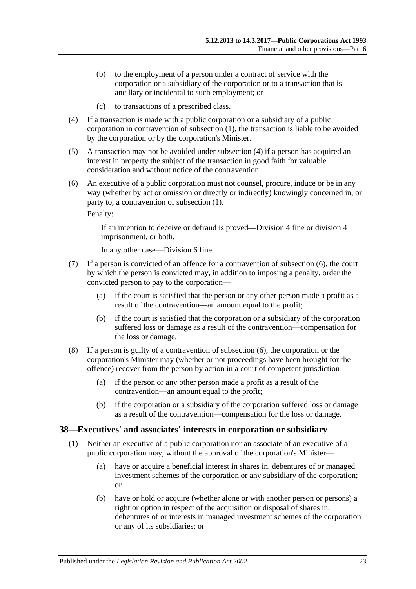- (b) to the employment of a person under a contract of service with the corporation or a subsidiary of the corporation or to a transaction that is ancillary or incidental to such employment; or
- (c) to transactions of a prescribed class.
- <span id="page-22-1"></span>(4) If a transaction is made with a public corporation or a subsidiary of a public corporation in contravention of [subsection](#page-21-1) (1), the transaction is liable to be avoided by the corporation or by the corporation's Minister.
- (5) A transaction may not be avoided under [subsection](#page-22-1) (4) if a person has acquired an interest in property the subject of the transaction in good faith for valuable consideration and without notice of the contravention.
- <span id="page-22-2"></span>(6) An executive of a public corporation must not counsel, procure, induce or be in any way (whether by act or omission or directly or indirectly) knowingly concerned in, or party to, a contravention of [subsection](#page-21-1) (1).

Penalty:

If an intention to deceive or defraud is proved—Division 4 fine or division 4 imprisonment, or both.

In any other case—Division 6 fine.

- (7) If a person is convicted of an offence for a contravention of [subsection](#page-22-2) (6), the court by which the person is convicted may, in addition to imposing a penalty, order the convicted person to pay to the corporation—
	- (a) if the court is satisfied that the person or any other person made a profit as a result of the contravention—an amount equal to the profit;
	- (b) if the court is satisfied that the corporation or a subsidiary of the corporation suffered loss or damage as a result of the contravention—compensation for the loss or damage.
- (8) If a person is guilty of a contravention of [subsection](#page-22-2) (6), the corporation or the corporation's Minister may (whether or not proceedings have been brought for the offence) recover from the person by action in a court of competent jurisdiction—
	- (a) if the person or any other person made a profit as a result of the contravention—an amount equal to the profit;
	- (b) if the corporation or a subsidiary of the corporation suffered loss or damage as a result of the contravention—compensation for the loss or damage.

#### <span id="page-22-3"></span><span id="page-22-0"></span>**38—Executives' and associates' interests in corporation or subsidiary**

- (1) Neither an executive of a public corporation nor an associate of an executive of a public corporation may, without the approval of the corporation's Minister—
	- (a) have or acquire a beneficial interest in shares in, debentures of or managed investment schemes of the corporation or any subsidiary of the corporation; or
	- (b) have or hold or acquire (whether alone or with another person or persons) a right or option in respect of the acquisition or disposal of shares in, debentures of or interests in managed investment schemes of the corporation or any of its subsidiaries; or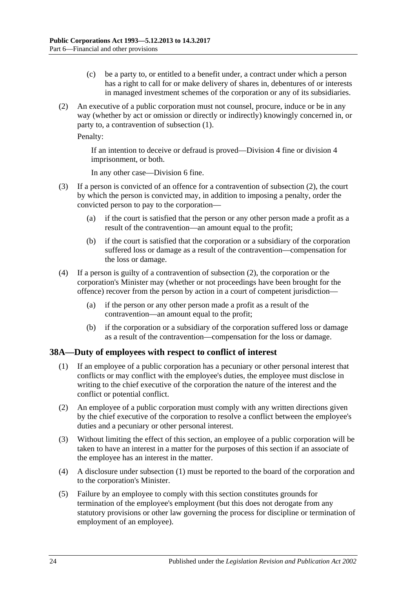- (c) be a party to, or entitled to a benefit under, a contract under which a person has a right to call for or make delivery of shares in, debentures of or interests in managed investment schemes of the corporation or any of its subsidiaries.
- <span id="page-23-1"></span>(2) An executive of a public corporation must not counsel, procure, induce or be in any way (whether by act or omission or directly or indirectly) knowingly concerned in, or party to, a contravention of [subsection](#page-22-3) (1).

Penalty:

If an intention to deceive or defraud is proved—Division 4 fine or division 4 imprisonment, or both.

In any other case—Division 6 fine.

- (3) If a person is convicted of an offence for a contravention of [subsection](#page-23-1) (2), the court by which the person is convicted may, in addition to imposing a penalty, order the convicted person to pay to the corporation—
	- (a) if the court is satisfied that the person or any other person made a profit as a result of the contravention—an amount equal to the profit;
	- (b) if the court is satisfied that the corporation or a subsidiary of the corporation suffered loss or damage as a result of the contravention—compensation for the loss or damage.
- (4) If a person is guilty of a contravention of [subsection](#page-23-1) (2), the corporation or the corporation's Minister may (whether or not proceedings have been brought for the offence) recover from the person by action in a court of competent jurisdiction—
	- (a) if the person or any other person made a profit as a result of the contravention—an amount equal to the profit;
	- (b) if the corporation or a subsidiary of the corporation suffered loss or damage as a result of the contravention—compensation for the loss or damage.

#### <span id="page-23-2"></span><span id="page-23-0"></span>**38A—Duty of employees with respect to conflict of interest**

- (1) If an employee of a public corporation has a pecuniary or other personal interest that conflicts or may conflict with the employee's duties, the employee must disclose in writing to the chief executive of the corporation the nature of the interest and the conflict or potential conflict.
- (2) An employee of a public corporation must comply with any written directions given by the chief executive of the corporation to resolve a conflict between the employee's duties and a pecuniary or other personal interest.
- (3) Without limiting the effect of this section, an employee of a public corporation will be taken to have an interest in a matter for the purposes of this section if an associate of the employee has an interest in the matter.
- (4) A disclosure under [subsection](#page-23-2) (1) must be reported to the board of the corporation and to the corporation's Minister.
- (5) Failure by an employee to comply with this section constitutes grounds for termination of the employee's employment (but this does not derogate from any statutory provisions or other law governing the process for discipline or termination of employment of an employee).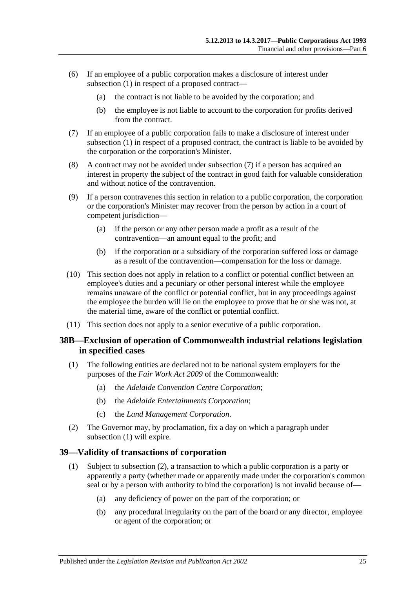- (6) If an employee of a public corporation makes a disclosure of interest under [subsection](#page-23-2) (1) in respect of a proposed contract—
	- (a) the contract is not liable to be avoided by the corporation; and
	- (b) the employee is not liable to account to the corporation for profits derived from the contract.
- <span id="page-24-2"></span>(7) If an employee of a public corporation fails to make a disclosure of interest under [subsection](#page-23-2) (1) in respect of a proposed contract, the contract is liable to be avoided by the corporation or the corporation's Minister.
- (8) A contract may not be avoided under [subsection](#page-24-2) (7) if a person has acquired an interest in property the subject of the contract in good faith for valuable consideration and without notice of the contravention.
- (9) If a person contravenes this section in relation to a public corporation, the corporation or the corporation's Minister may recover from the person by action in a court of competent jurisdiction—
	- (a) if the person or any other person made a profit as a result of the contravention—an amount equal to the profit; and
	- (b) if the corporation or a subsidiary of the corporation suffered loss or damage as a result of the contravention—compensation for the loss or damage.
- (10) This section does not apply in relation to a conflict or potential conflict between an employee's duties and a pecuniary or other personal interest while the employee remains unaware of the conflict or potential conflict, but in any proceedings against the employee the burden will lie on the employee to prove that he or she was not, at the material time, aware of the conflict or potential conflict.
- (11) This section does not apply to a senior executive of a public corporation.

#### <span id="page-24-0"></span>**38B—Exclusion of operation of Commonwealth industrial relations legislation in specified cases**

- <span id="page-24-3"></span>(1) The following entities are declared not to be national system employers for the purposes of the *Fair Work Act 2009* of the Commonwealth:
	- (a) the *Adelaide Convention Centre Corporation*;
	- (b) the *Adelaide Entertainments Corporation*;
	- (c) the *Land Management Corporation*.
- (2) The Governor may, by proclamation, fix a day on which a paragraph under [subsection](#page-24-3) (1) will expire.

#### <span id="page-24-1"></span>**39—Validity of transactions of corporation**

- (1) Subject to [subsection](#page-25-1) (2), a transaction to which a public corporation is a party or apparently a party (whether made or apparently made under the corporation's common seal or by a person with authority to bind the corporation) is not invalid because of—
	- (a) any deficiency of power on the part of the corporation; or
	- (b) any procedural irregularity on the part of the board or any director, employee or agent of the corporation; or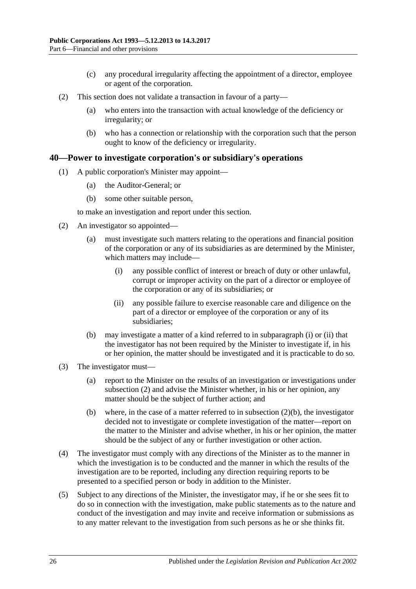- (c) any procedural irregularity affecting the appointment of a director, employee or agent of the corporation.
- <span id="page-25-1"></span>(2) This section does not validate a transaction in favour of a party—
	- (a) who enters into the transaction with actual knowledge of the deficiency or irregularity; or
	- (b) who has a connection or relationship with the corporation such that the person ought to know of the deficiency or irregularity.

#### <span id="page-25-0"></span>**40—Power to investigate corporation's or subsidiary's operations**

- (1) A public corporation's Minister may appoint—
	- (a) the Auditor-General; or
	- (b) some other suitable person,

to make an investigation and report under this section.

- <span id="page-25-4"></span><span id="page-25-2"></span>(2) An investigator so appointed—
	- (a) must investigate such matters relating to the operations and financial position of the corporation or any of its subsidiaries as are determined by the Minister, which matters may include—
		- (i) any possible conflict of interest or breach of duty or other unlawful, corrupt or improper activity on the part of a director or employee of the corporation or any of its subsidiaries; or
		- (ii) any possible failure to exercise reasonable care and diligence on the part of a director or employee of the corporation or any of its subsidiaries;
	- (b) may investigate a matter of a kind referred to in [subparagraph](#page-25-2) (i) or [\(ii\)](#page-25-3) that the investigator has not been required by the Minister to investigate if, in his or her opinion, the matter should be investigated and it is practicable to do so.
- <span id="page-25-5"></span><span id="page-25-3"></span>(3) The investigator must—
	- (a) report to the Minister on the results of an investigation or investigations under [subsection](#page-25-4) (2) and advise the Minister whether, in his or her opinion, any matter should be the subject of further action; and
	- (b) where, in the case of a matter referred to in [subsection](#page-25-5)  $(2)(b)$ , the investigator decided not to investigate or complete investigation of the matter—report on the matter to the Minister and advise whether, in his or her opinion, the matter should be the subject of any or further investigation or other action.
- (4) The investigator must comply with any directions of the Minister as to the manner in which the investigation is to be conducted and the manner in which the results of the investigation are to be reported, including any direction requiring reports to be presented to a specified person or body in addition to the Minister.
- (5) Subject to any directions of the Minister, the investigator may, if he or she sees fit to do so in connection with the investigation, make public statements as to the nature and conduct of the investigation and may invite and receive information or submissions as to any matter relevant to the investigation from such persons as he or she thinks fit.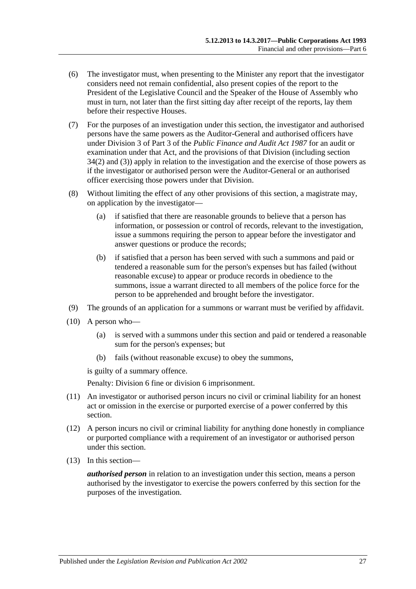- (6) The investigator must, when presenting to the Minister any report that the investigator considers need not remain confidential, also present copies of the report to the President of the Legislative Council and the Speaker of the House of Assembly who must in turn, not later than the first sitting day after receipt of the reports, lay them before their respective Houses.
- (7) For the purposes of an investigation under this section, the investigator and authorised persons have the same powers as the Auditor-General and authorised officers have under Division 3 of Part 3 of the *[Public Finance and Audit Act](http://www.legislation.sa.gov.au/index.aspx?action=legref&type=act&legtitle=Public%20Finance%20and%20Audit%20Act%201987) 1987* for an audit or examination under that Act, and the provisions of that Division (including section 34(2) and (3)) apply in relation to the investigation and the exercise of those powers as if the investigator or authorised person were the Auditor-General or an authorised officer exercising those powers under that Division.
- (8) Without limiting the effect of any other provisions of this section, a magistrate may, on application by the investigator—
	- (a) if satisfied that there are reasonable grounds to believe that a person has information, or possession or control of records, relevant to the investigation, issue a summons requiring the person to appear before the investigator and answer questions or produce the records;
	- (b) if satisfied that a person has been served with such a summons and paid or tendered a reasonable sum for the person's expenses but has failed (without reasonable excuse) to appear or produce records in obedience to the summons, issue a warrant directed to all members of the police force for the person to be apprehended and brought before the investigator.
- (9) The grounds of an application for a summons or warrant must be verified by affidavit.
- (10) A person who—
	- (a) is served with a summons under this section and paid or tendered a reasonable sum for the person's expenses; but
	- (b) fails (without reasonable excuse) to obey the summons,

is guilty of a summary offence.

Penalty: Division 6 fine or division 6 imprisonment.

- (11) An investigator or authorised person incurs no civil or criminal liability for an honest act or omission in the exercise or purported exercise of a power conferred by this section.
- (12) A person incurs no civil or criminal liability for anything done honestly in compliance or purported compliance with a requirement of an investigator or authorised person under this section.
- (13) In this section—

*authorised person* in relation to an investigation under this section, means a person authorised by the investigator to exercise the powers conferred by this section for the purposes of the investigation.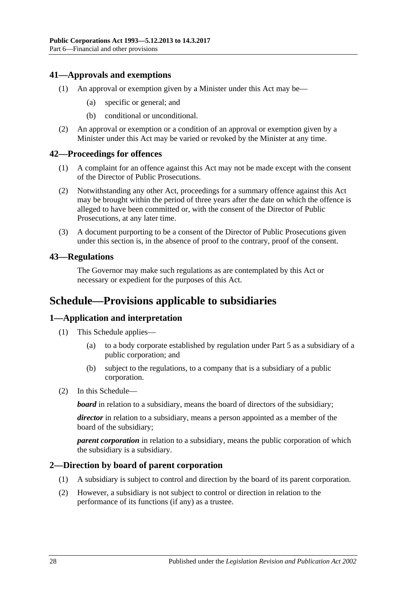### <span id="page-27-0"></span>**41—Approvals and exemptions**

- (1) An approval or exemption given by a Minister under this Act may be—
	- (a) specific or general; and
	- (b) conditional or unconditional.
- (2) An approval or exemption or a condition of an approval or exemption given by a Minister under this Act may be varied or revoked by the Minister at any time.

#### <span id="page-27-1"></span>**42—Proceedings for offences**

- (1) A complaint for an offence against this Act may not be made except with the consent of the Director of Public Prosecutions.
- (2) Notwithstanding any other Act, proceedings for a summary offence against this Act may be brought within the period of three years after the date on which the offence is alleged to have been committed or, with the consent of the Director of Public Prosecutions, at any later time.
- (3) A document purporting to be a consent of the Director of Public Prosecutions given under this section is, in the absence of proof to the contrary, proof of the consent.

#### <span id="page-27-2"></span>**43—Regulations**

The Governor may make such regulations as are contemplated by this Act or necessary or expedient for the purposes of this Act.

## <span id="page-27-3"></span>**Schedule—Provisions applicable to subsidiaries**

#### <span id="page-27-4"></span>**1—Application and interpretation**

- (1) This Schedule applies—
	- (a) to a body corporate established by regulation under [Part 5](#page-13-3) as a subsidiary of a public corporation; and
	- (b) subject to the regulations, to a company that is a subsidiary of a public corporation.
- (2) In this Schedule—

*board* in relation to a subsidiary, means the board of directors of the subsidiary;

*director* in relation to a subsidiary, means a person appointed as a member of the board of the subsidiary;

*parent corporation* in relation to a subsidiary, means the public corporation of which the subsidiary is a subsidiary.

#### <span id="page-27-5"></span>**2—Direction by board of parent corporation**

- (1) A subsidiary is subject to control and direction by the board of its parent corporation.
- (2) However, a subsidiary is not subject to control or direction in relation to the performance of its functions (if any) as a trustee.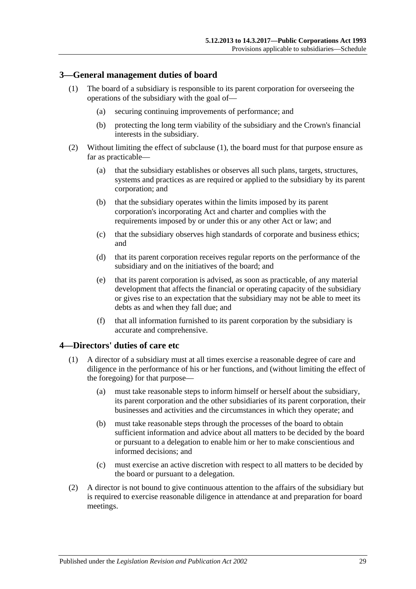#### <span id="page-28-2"></span><span id="page-28-0"></span>**3—General management duties of board**

- (1) The board of a subsidiary is responsible to its parent corporation for overseeing the operations of the subsidiary with the goal of—
	- (a) securing continuing improvements of performance; and
	- (b) protecting the long term viability of the subsidiary and the Crown's financial interests in the subsidiary.
- (2) Without limiting the effect of [subclause](#page-28-2) (1), the board must for that purpose ensure as far as practicable—
	- (a) that the subsidiary establishes or observes all such plans, targets, structures, systems and practices as are required or applied to the subsidiary by its parent corporation; and
	- (b) that the subsidiary operates within the limits imposed by its parent corporation's incorporating Act and charter and complies with the requirements imposed by or under this or any other Act or law; and
	- (c) that the subsidiary observes high standards of corporate and business ethics; and
	- (d) that its parent corporation receives regular reports on the performance of the subsidiary and on the initiatives of the board; and
	- (e) that its parent corporation is advised, as soon as practicable, of any material development that affects the financial or operating capacity of the subsidiary or gives rise to an expectation that the subsidiary may not be able to meet its debts as and when they fall due; and
	- (f) that all information furnished to its parent corporation by the subsidiary is accurate and comprehensive.

#### <span id="page-28-1"></span>**4—Directors' duties of care etc**

- (1) A director of a subsidiary must at all times exercise a reasonable degree of care and diligence in the performance of his or her functions, and (without limiting the effect of the foregoing) for that purpose—
	- (a) must take reasonable steps to inform himself or herself about the subsidiary, its parent corporation and the other subsidiaries of its parent corporation, their businesses and activities and the circumstances in which they operate; and
	- (b) must take reasonable steps through the processes of the board to obtain sufficient information and advice about all matters to be decided by the board or pursuant to a delegation to enable him or her to make conscientious and informed decisions; and
	- (c) must exercise an active discretion with respect to all matters to be decided by the board or pursuant to a delegation.
- (2) A director is not bound to give continuous attention to the affairs of the subsidiary but is required to exercise reasonable diligence in attendance at and preparation for board meetings.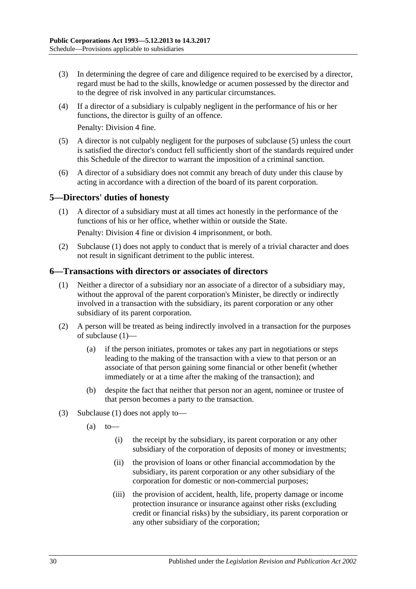- (3) In determining the degree of care and diligence required to be exercised by a director, regard must be had to the skills, knowledge or acumen possessed by the director and to the degree of risk involved in any particular circumstances.
- (4) If a director of a subsidiary is culpably negligent in the performance of his or her functions, the director is guilty of an offence.

Penalty: Division 4 fine.

- (5) A director is not culpably negligent for the purposes of subclause (5) unless the court is satisfied the director's conduct fell sufficiently short of the standards required under this Schedule of the director to warrant the imposition of a criminal sanction.
- (6) A director of a subsidiary does not commit any breach of duty under this clause by acting in accordance with a direction of the board of its parent corporation.

#### <span id="page-29-2"></span><span id="page-29-0"></span>**5—Directors' duties of honesty**

(1) A director of a subsidiary must at all times act honestly in the performance of the functions of his or her office, whether within or outside the State.

Penalty: Division 4 fine or division 4 imprisonment, or both.

(2) [Subclause](#page-29-2) (1) does not apply to conduct that is merely of a trivial character and does not result in significant detriment to the public interest.

#### <span id="page-29-3"></span><span id="page-29-1"></span>**6—Transactions with directors or associates of directors**

- (1) Neither a director of a subsidiary nor an associate of a director of a subsidiary may, without the approval of the parent corporation's Minister, be directly or indirectly involved in a transaction with the subsidiary, its parent corporation or any other subsidiary of its parent corporation.
- (2) A person will be treated as being indirectly involved in a transaction for the purposes of [subclause](#page-29-3) (1)—
	- (a) if the person initiates, promotes or takes any part in negotiations or steps leading to the making of the transaction with a view to that person or an associate of that person gaining some financial or other benefit (whether immediately or at a time after the making of the transaction); and
	- (b) despite the fact that neither that person nor an agent, nominee or trustee of that person becomes a party to the transaction.
- (3) [Subclause](#page-29-3) (1) does not apply to—
	- $(a)$  to
		- (i) the receipt by the subsidiary, its parent corporation or any other subsidiary of the corporation of deposits of money or investments;
		- (ii) the provision of loans or other financial accommodation by the subsidiary, its parent corporation or any other subsidiary of the corporation for domestic or non-commercial purposes;
		- (iii) the provision of accident, health, life, property damage or income protection insurance or insurance against other risks (excluding credit or financial risks) by the subsidiary, its parent corporation or any other subsidiary of the corporation;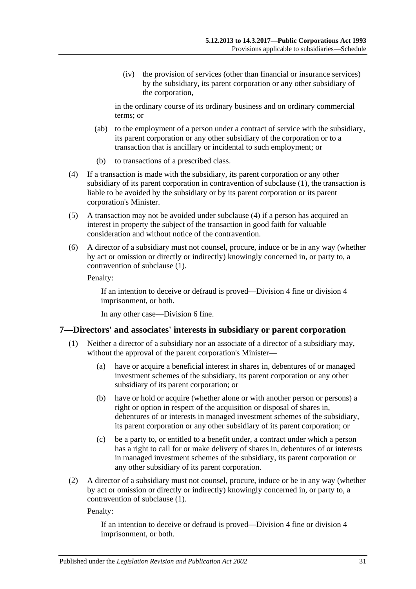(iv) the provision of services (other than financial or insurance services) by the subsidiary, its parent corporation or any other subsidiary of the corporation,

in the ordinary course of its ordinary business and on ordinary commercial terms; or

- (ab) to the employment of a person under a contract of service with the subsidiary, its parent corporation or any other subsidiary of the corporation or to a transaction that is ancillary or incidental to such employment; or
- (b) to transactions of a prescribed class.
- <span id="page-30-1"></span>(4) If a transaction is made with the subsidiary, its parent corporation or any other subsidiary of its parent corporation in contravention of [subclause](#page-29-3) (1), the transaction is liable to be avoided by the subsidiary or by its parent corporation or its parent corporation's Minister.
- (5) A transaction may not be avoided under [subclause](#page-30-1) (4) if a person has acquired an interest in property the subject of the transaction in good faith for valuable consideration and without notice of the contravention.
- (6) A director of a subsidiary must not counsel, procure, induce or be in any way (whether by act or omission or directly or indirectly) knowingly concerned in, or party to, a contravention of [subclause](#page-29-3) (1).

Penalty:

If an intention to deceive or defraud is proved—Division 4 fine or division 4 imprisonment, or both.

In any other case—Division 6 fine.

#### <span id="page-30-2"></span><span id="page-30-0"></span>**7—Directors' and associates' interests in subsidiary or parent corporation**

- (1) Neither a director of a subsidiary nor an associate of a director of a subsidiary may, without the approval of the parent corporation's Minister—
	- (a) have or acquire a beneficial interest in shares in, debentures of or managed investment schemes of the subsidiary, its parent corporation or any other subsidiary of its parent corporation; or
	- (b) have or hold or acquire (whether alone or with another person or persons) a right or option in respect of the acquisition or disposal of shares in, debentures of or interests in managed investment schemes of the subsidiary, its parent corporation or any other subsidiary of its parent corporation; or
	- (c) be a party to, or entitled to a benefit under, a contract under which a person has a right to call for or make delivery of shares in, debentures of or interests in managed investment schemes of the subsidiary, its parent corporation or any other subsidiary of its parent corporation.
- (2) A director of a subsidiary must not counsel, procure, induce or be in any way (whether by act or omission or directly or indirectly) knowingly concerned in, or party to, a contravention of [subclause](#page-30-2) (1).

Penalty:

If an intention to deceive or defraud is proved—Division 4 fine or division 4 imprisonment, or both.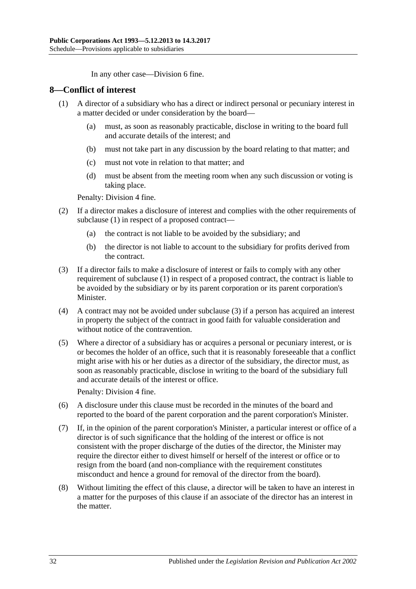In any other case—Division 6 fine.

#### <span id="page-31-1"></span><span id="page-31-0"></span>**8—Conflict of interest**

- (1) A director of a subsidiary who has a direct or indirect personal or pecuniary interest in a matter decided or under consideration by the board—
	- (a) must, as soon as reasonably practicable, disclose in writing to the board full and accurate details of the interest; and
	- (b) must not take part in any discussion by the board relating to that matter; and
	- (c) must not vote in relation to that matter; and
	- (d) must be absent from the meeting room when any such discussion or voting is taking place.

Penalty: Division 4 fine.

- (2) If a director makes a disclosure of interest and complies with the other requirements of [subclause](#page-31-1) (1) in respect of a proposed contract—
	- (a) the contract is not liable to be avoided by the subsidiary; and
	- (b) the director is not liable to account to the subsidiary for profits derived from the contract.
- <span id="page-31-2"></span>(3) If a director fails to make a disclosure of interest or fails to comply with any other requirement of [subclause](#page-31-1) (1) in respect of a proposed contract, the contract is liable to be avoided by the subsidiary or by its parent corporation or its parent corporation's Minister.
- (4) A contract may not be avoided under [subclause](#page-31-2) (3) if a person has acquired an interest in property the subject of the contract in good faith for valuable consideration and without notice of the contravention.
- (5) Where a director of a subsidiary has or acquires a personal or pecuniary interest, or is or becomes the holder of an office, such that it is reasonably foreseeable that a conflict might arise with his or her duties as a director of the subsidiary, the director must, as soon as reasonably practicable, disclose in writing to the board of the subsidiary full and accurate details of the interest or office.

Penalty: Division 4 fine.

- (6) A disclosure under this clause must be recorded in the minutes of the board and reported to the board of the parent corporation and the parent corporation's Minister.
- (7) If, in the opinion of the parent corporation's Minister, a particular interest or office of a director is of such significance that the holding of the interest or office is not consistent with the proper discharge of the duties of the director, the Minister may require the director either to divest himself or herself of the interest or office or to resign from the board (and non-compliance with the requirement constitutes misconduct and hence a ground for removal of the director from the board).
- (8) Without limiting the effect of this clause, a director will be taken to have an interest in a matter for the purposes of this clause if an associate of the director has an interest in the matter.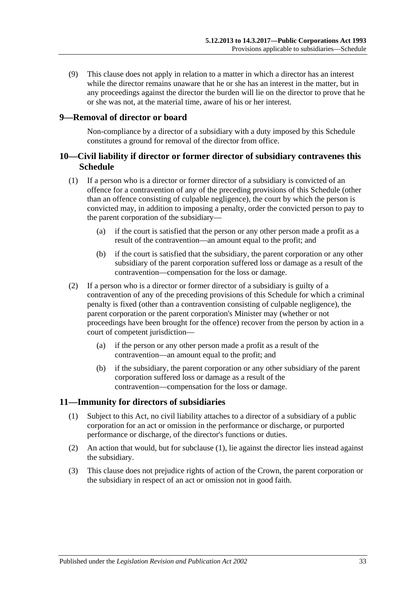(9) This clause does not apply in relation to a matter in which a director has an interest while the director remains unaware that he or she has an interest in the matter, but in any proceedings against the director the burden will lie on the director to prove that he or she was not, at the material time, aware of his or her interest.

#### <span id="page-32-0"></span>**9—Removal of director or board**

Non-compliance by a director of a subsidiary with a duty imposed by this Schedule constitutes a ground for removal of the director from office.

#### <span id="page-32-1"></span>**10—Civil liability if director or former director of subsidiary contravenes this Schedule**

- (1) If a person who is a director or former director of a subsidiary is convicted of an offence for a contravention of any of the preceding provisions of this Schedule (other than an offence consisting of culpable negligence), the court by which the person is convicted may, in addition to imposing a penalty, order the convicted person to pay to the parent corporation of the subsidiary—
	- (a) if the court is satisfied that the person or any other person made a profit as a result of the contravention—an amount equal to the profit; and
	- (b) if the court is satisfied that the subsidiary, the parent corporation or any other subsidiary of the parent corporation suffered loss or damage as a result of the contravention—compensation for the loss or damage.
- (2) If a person who is a director or former director of a subsidiary is guilty of a contravention of any of the preceding provisions of this Schedule for which a criminal penalty is fixed (other than a contravention consisting of culpable negligence), the parent corporation or the parent corporation's Minister may (whether or not proceedings have been brought for the offence) recover from the person by action in a court of competent jurisdiction—
	- (a) if the person or any other person made a profit as a result of the contravention—an amount equal to the profit; and
	- (b) if the subsidiary, the parent corporation or any other subsidiary of the parent corporation suffered loss or damage as a result of the contravention—compensation for the loss or damage.

#### <span id="page-32-3"></span><span id="page-32-2"></span>**11—Immunity for directors of subsidiaries**

- (1) Subject to this Act, no civil liability attaches to a director of a subsidiary of a public corporation for an act or omission in the performance or discharge, or purported performance or discharge, of the director's functions or duties.
- (2) An action that would, but for [subclause](#page-32-3) (1), lie against the director lies instead against the subsidiary.
- (3) This clause does not prejudice rights of action of the Crown, the parent corporation or the subsidiary in respect of an act or omission not in good faith.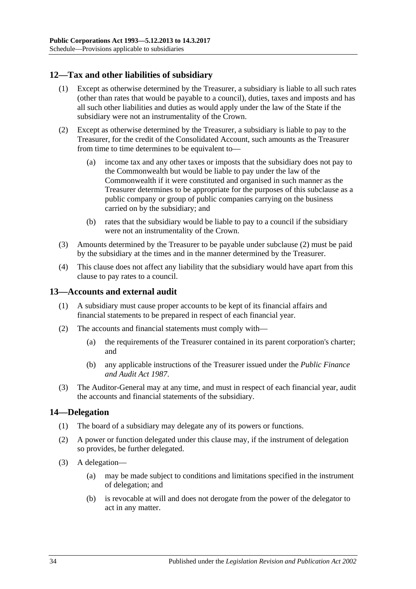## <span id="page-33-0"></span>**12—Tax and other liabilities of subsidiary**

- (1) Except as otherwise determined by the Treasurer, a subsidiary is liable to all such rates (other than rates that would be payable to a council), duties, taxes and imposts and has all such other liabilities and duties as would apply under the law of the State if the subsidiary were not an instrumentality of the Crown.
- <span id="page-33-3"></span>(2) Except as otherwise determined by the Treasurer, a subsidiary is liable to pay to the Treasurer, for the credit of the Consolidated Account, such amounts as the Treasurer from time to time determines to be equivalent to—
	- (a) income tax and any other taxes or imposts that the subsidiary does not pay to the Commonwealth but would be liable to pay under the law of the Commonwealth if it were constituted and organised in such manner as the Treasurer determines to be appropriate for the purposes of this subclause as a public company or group of public companies carrying on the business carried on by the subsidiary; and
	- (b) rates that the subsidiary would be liable to pay to a council if the subsidiary were not an instrumentality of the Crown.
- (3) Amounts determined by the Treasurer to be payable under [subclause](#page-33-3) (2) must be paid by the subsidiary at the times and in the manner determined by the Treasurer.
- (4) This clause does not affect any liability that the subsidiary would have apart from this clause to pay rates to a council.

#### <span id="page-33-1"></span>**13—Accounts and external audit**

- (1) A subsidiary must cause proper accounts to be kept of its financial affairs and financial statements to be prepared in respect of each financial year.
- (2) The accounts and financial statements must comply with—
	- (a) the requirements of the Treasurer contained in its parent corporation's charter; and
	- (b) any applicable instructions of the Treasurer issued under the *[Public Finance](http://www.legislation.sa.gov.au/index.aspx?action=legref&type=act&legtitle=Public%20Finance%20and%20Audit%20Act%201987)  [and Audit Act](http://www.legislation.sa.gov.au/index.aspx?action=legref&type=act&legtitle=Public%20Finance%20and%20Audit%20Act%201987) 1987*.
- (3) The Auditor-General may at any time, and must in respect of each financial year, audit the accounts and financial statements of the subsidiary.

#### <span id="page-33-2"></span>**14—Delegation**

- (1) The board of a subsidiary may delegate any of its powers or functions.
- (2) A power or function delegated under this clause may, if the instrument of delegation so provides, be further delegated.
- (3) A delegation—
	- (a) may be made subject to conditions and limitations specified in the instrument of delegation; and
	- (b) is revocable at will and does not derogate from the power of the delegator to act in any matter.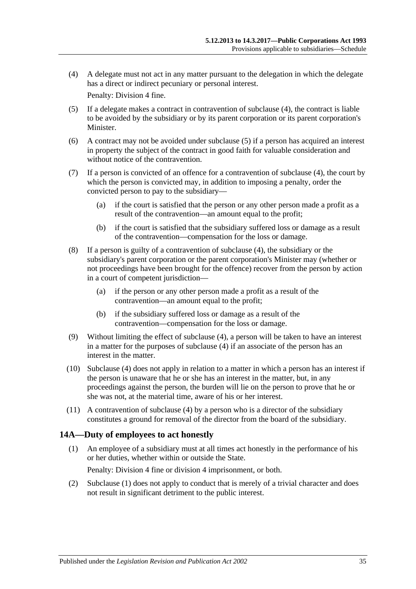<span id="page-34-1"></span>(4) A delegate must not act in any matter pursuant to the delegation in which the delegate has a direct or indirect pecuniary or personal interest.

Penalty: Division 4 fine.

- <span id="page-34-2"></span>(5) If a delegate makes a contract in contravention of [subclause](#page-34-1) (4), the contract is liable to be avoided by the subsidiary or by its parent corporation or its parent corporation's **Minister**
- (6) A contract may not be avoided under [subclause](#page-34-2) (5) if a person has acquired an interest in property the subject of the contract in good faith for valuable consideration and without notice of the contravention.
- (7) If a person is convicted of an offence for a contravention of [subclause](#page-34-1) (4), the court by which the person is convicted may, in addition to imposing a penalty, order the convicted person to pay to the subsidiary—
	- (a) if the court is satisfied that the person or any other person made a profit as a result of the contravention—an amount equal to the profit;
	- (b) if the court is satisfied that the subsidiary suffered loss or damage as a result of the contravention—compensation for the loss or damage.
- (8) If a person is guilty of a contravention of [subclause](#page-34-1) (4), the subsidiary or the subsidiary's parent corporation or the parent corporation's Minister may (whether or not proceedings have been brought for the offence) recover from the person by action in a court of competent jurisdiction—
	- (a) if the person or any other person made a profit as a result of the contravention—an amount equal to the profit;
	- (b) if the subsidiary suffered loss or damage as a result of the contravention—compensation for the loss or damage.
- (9) Without limiting the effect of [subclause](#page-34-1) (4), a person will be taken to have an interest in a matter for the purposes of [subclause](#page-34-1) (4) if an associate of the person has an interest in the matter.
- (10) [Subclause](#page-34-1) (4) does not apply in relation to a matter in which a person has an interest if the person is unaware that he or she has an interest in the matter, but, in any proceedings against the person, the burden will lie on the person to prove that he or she was not, at the material time, aware of his or her interest.
- (11) A contravention of [subclause](#page-34-1) (4) by a person who is a director of the subsidiary constitutes a ground for removal of the director from the board of the subsidiary.

#### <span id="page-34-3"></span><span id="page-34-0"></span>**14A—Duty of employees to act honestly**

- (1) An employee of a subsidiary must at all times act honestly in the performance of his or her duties, whether within or outside the State. Penalty: Division 4 fine or division 4 imprisonment, or both.
- (2) [Subclause](#page-34-3) (1) does not apply to conduct that is merely of a trivial character and does not result in significant detriment to the public interest.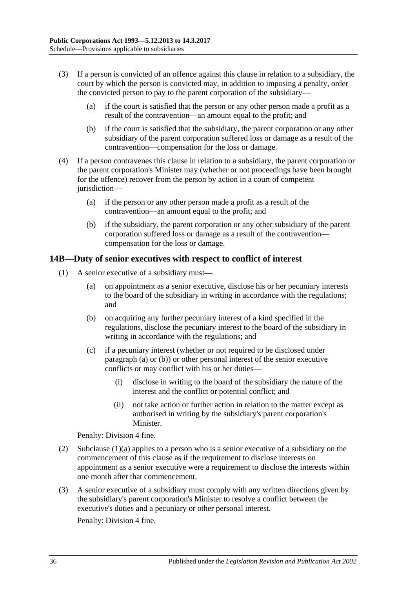- (3) If a person is convicted of an offence against this clause in relation to a subsidiary, the court by which the person is convicted may, in addition to imposing a penalty, order the convicted person to pay to the parent corporation of the subsidiary—
	- (a) if the court is satisfied that the person or any other person made a profit as a result of the contravention—an amount equal to the profit; and
	- (b) if the court is satisfied that the subsidiary, the parent corporation or any other subsidiary of the parent corporation suffered loss or damage as a result of the contravention—compensation for the loss or damage.
- (4) If a person contravenes this clause in relation to a subsidiary, the parent corporation or the parent corporation's Minister may (whether or not proceedings have been brought for the offence) recover from the person by action in a court of competent jurisdiction—
	- (a) if the person or any other person made a profit as a result of the contravention—an amount equal to the profit; and
	- (b) if the subsidiary, the parent corporation or any other subsidiary of the parent corporation suffered loss or damage as a result of the contravention compensation for the loss or damage.

### <span id="page-35-4"></span><span id="page-35-0"></span>**14B—Duty of senior executives with respect to conflict of interest**

- <span id="page-35-3"></span><span id="page-35-2"></span><span id="page-35-1"></span>(1) A senior executive of a subsidiary must—
	- (a) on appointment as a senior executive, disclose his or her pecuniary interests to the board of the subsidiary in writing in accordance with the regulations; and
	- (b) on acquiring any further pecuniary interest of a kind specified in the regulations, disclose the pecuniary interest to the board of the subsidiary in writing in accordance with the regulations; and
	- (c) if a pecuniary interest (whether or not required to be disclosed under [paragraph](#page-35-1) (a) or [\(b\)\)](#page-35-2) or other personal interest of the senior executive conflicts or may conflict with his or her duties—
		- (i) disclose in writing to the board of the subsidiary the nature of the interest and the conflict or potential conflict; and
		- (ii) not take action or further action in relation to the matter except as authorised in writing by the subsidiary's parent corporation's Minister.

Penalty: Division 4 fine.

- (2) [Subclause](#page-35-1)  $(1)(a)$  applies to a person who is a senior executive of a subsidiary on the commencement of this clause as if the requirement to disclose interests on appointment as a senior executive were a requirement to disclose the interests within one month after that commencement.
- (3) A senior executive of a subsidiary must comply with any written directions given by the subsidiary's parent corporation's Minister to resolve a conflict between the executive's duties and a pecuniary or other personal interest.

Penalty: Division 4 fine.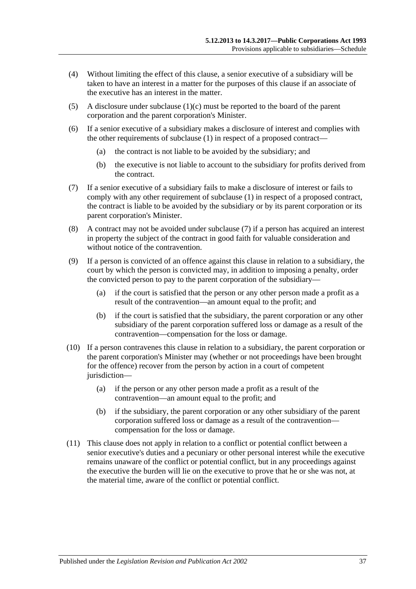- (4) Without limiting the effect of this clause, a senior executive of a subsidiary will be taken to have an interest in a matter for the purposes of this clause if an associate of the executive has an interest in the matter.
- (5) A disclosure under [subclause](#page-35-3) (1)(c) must be reported to the board of the parent corporation and the parent corporation's Minister.
- (6) If a senior executive of a subsidiary makes a disclosure of interest and complies with the other requirements of [subclause](#page-35-4) (1) in respect of a proposed contract—
	- (a) the contract is not liable to be avoided by the subsidiary; and
	- (b) the executive is not liable to account to the subsidiary for profits derived from the contract.
- <span id="page-36-0"></span>(7) If a senior executive of a subsidiary fails to make a disclosure of interest or fails to comply with any other requirement of [subclause](#page-35-4) (1) in respect of a proposed contract, the contract is liable to be avoided by the subsidiary or by its parent corporation or its parent corporation's Minister.
- (8) A contract may not be avoided under [subclause](#page-36-0) (7) if a person has acquired an interest in property the subject of the contract in good faith for valuable consideration and without notice of the contravention.
- (9) If a person is convicted of an offence against this clause in relation to a subsidiary, the court by which the person is convicted may, in addition to imposing a penalty, order the convicted person to pay to the parent corporation of the subsidiary—
	- (a) if the court is satisfied that the person or any other person made a profit as a result of the contravention—an amount equal to the profit; and
	- (b) if the court is satisfied that the subsidiary, the parent corporation or any other subsidiary of the parent corporation suffered loss or damage as a result of the contravention—compensation for the loss or damage.
- (10) If a person contravenes this clause in relation to a subsidiary, the parent corporation or the parent corporation's Minister may (whether or not proceedings have been brought for the offence) recover from the person by action in a court of competent jurisdiction-
	- (a) if the person or any other person made a profit as a result of the contravention—an amount equal to the profit; and
	- (b) if the subsidiary, the parent corporation or any other subsidiary of the parent corporation suffered loss or damage as a result of the contravention compensation for the loss or damage.
- (11) This clause does not apply in relation to a conflict or potential conflict between a senior executive's duties and a pecuniary or other personal interest while the executive remains unaware of the conflict or potential conflict, but in any proceedings against the executive the burden will lie on the executive to prove that he or she was not, at the material time, aware of the conflict or potential conflict.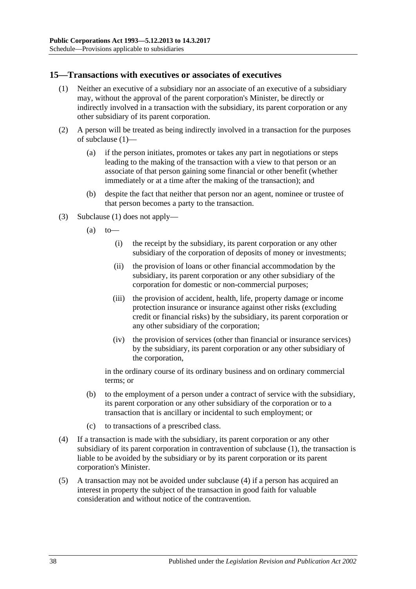#### <span id="page-37-1"></span><span id="page-37-0"></span>**15—Transactions with executives or associates of executives**

- (1) Neither an executive of a subsidiary nor an associate of an executive of a subsidiary may, without the approval of the parent corporation's Minister, be directly or indirectly involved in a transaction with the subsidiary, its parent corporation or any other subsidiary of its parent corporation.
- (2) A person will be treated as being indirectly involved in a transaction for the purposes of [subclause](#page-37-1) (1)—
	- (a) if the person initiates, promotes or takes any part in negotiations or steps leading to the making of the transaction with a view to that person or an associate of that person gaining some financial or other benefit (whether immediately or at a time after the making of the transaction); and
	- (b) despite the fact that neither that person nor an agent, nominee or trustee of that person becomes a party to the transaction.
- (3) [Subclause](#page-37-1) (1) does not apply—
	- $(a)$  to
		- (i) the receipt by the subsidiary, its parent corporation or any other subsidiary of the corporation of deposits of money or investments;
		- (ii) the provision of loans or other financial accommodation by the subsidiary, its parent corporation or any other subsidiary of the corporation for domestic or non-commercial purposes;
		- (iii) the provision of accident, health, life, property damage or income protection insurance or insurance against other risks (excluding credit or financial risks) by the subsidiary, its parent corporation or any other subsidiary of the corporation;
		- (iv) the provision of services (other than financial or insurance services) by the subsidiary, its parent corporation or any other subsidiary of the corporation,

in the ordinary course of its ordinary business and on ordinary commercial terms; or

- (b) to the employment of a person under a contract of service with the subsidiary, its parent corporation or any other subsidiary of the corporation or to a transaction that is ancillary or incidental to such employment; or
- (c) to transactions of a prescribed class.
- <span id="page-37-2"></span>(4) If a transaction is made with the subsidiary, its parent corporation or any other subsidiary of its parent corporation in contravention of [subclause](#page-37-1) (1), the transaction is liable to be avoided by the subsidiary or by its parent corporation or its parent corporation's Minister.
- (5) A transaction may not be avoided under [subclause](#page-37-2) (4) if a person has acquired an interest in property the subject of the transaction in good faith for valuable consideration and without notice of the contravention.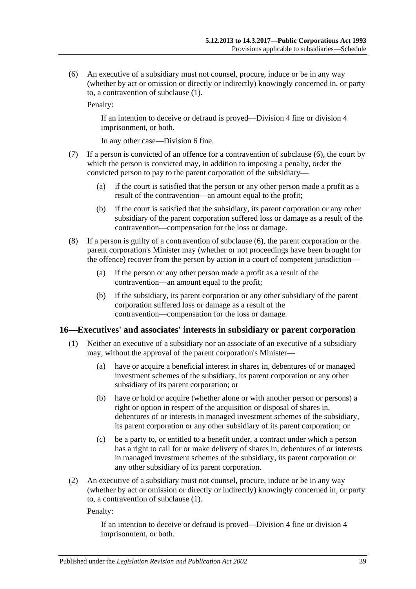<span id="page-38-1"></span>(6) An executive of a subsidiary must not counsel, procure, induce or be in any way (whether by act or omission or directly or indirectly) knowingly concerned in, or party to, a contravention of [subclause](#page-37-1) (1).

Penalty:

If an intention to deceive or defraud is proved—Division 4 fine or division 4 imprisonment, or both.

In any other case—Division 6 fine.

- (7) If a person is convicted of an offence for a contravention of [subclause](#page-38-1) (6), the court by which the person is convicted may, in addition to imposing a penalty, order the convicted person to pay to the parent corporation of the subsidiary—
	- (a) if the court is satisfied that the person or any other person made a profit as a result of the contravention—an amount equal to the profit;
	- (b) if the court is satisfied that the subsidiary, its parent corporation or any other subsidiary of the parent corporation suffered loss or damage as a result of the contravention—compensation for the loss or damage.
- (8) If a person is guilty of a contravention of [subclause](#page-38-1) (6), the parent corporation or the parent corporation's Minister may (whether or not proceedings have been brought for the offence) recover from the person by action in a court of competent jurisdiction—
	- (a) if the person or any other person made a profit as a result of the contravention—an amount equal to the profit;
	- (b) if the subsidiary, its parent corporation or any other subsidiary of the parent corporation suffered loss or damage as a result of the contravention—compensation for the loss or damage.

#### <span id="page-38-2"></span><span id="page-38-0"></span>**16—Executives' and associates' interests in subsidiary or parent corporation**

- (1) Neither an executive of a subsidiary nor an associate of an executive of a subsidiary may, without the approval of the parent corporation's Minister—
	- (a) have or acquire a beneficial interest in shares in, debentures of or managed investment schemes of the subsidiary, its parent corporation or any other subsidiary of its parent corporation; or
	- (b) have or hold or acquire (whether alone or with another person or persons) a right or option in respect of the acquisition or disposal of shares in, debentures of or interests in managed investment schemes of the subsidiary, its parent corporation or any other subsidiary of its parent corporation; or
	- (c) be a party to, or entitled to a benefit under, a contract under which a person has a right to call for or make delivery of shares in, debentures of or interests in managed investment schemes of the subsidiary, its parent corporation or any other subsidiary of its parent corporation.
- <span id="page-38-3"></span>(2) An executive of a subsidiary must not counsel, procure, induce or be in any way (whether by act or omission or directly or indirectly) knowingly concerned in, or party to, a contravention of [subclause](#page-38-2) (1).

Penalty:

If an intention to deceive or defraud is proved—Division 4 fine or division 4 imprisonment, or both.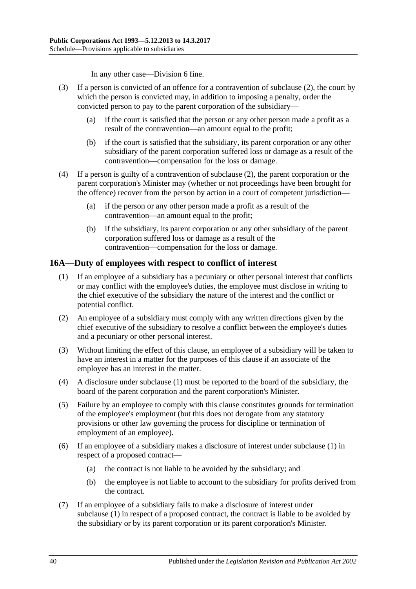In any other case—Division 6 fine.

- (3) If a person is convicted of an offence for a contravention of [subclause](#page-38-3) (2), the court by which the person is convicted may, in addition to imposing a penalty, order the convicted person to pay to the parent corporation of the subsidiary—
	- (a) if the court is satisfied that the person or any other person made a profit as a result of the contravention—an amount equal to the profit;
	- (b) if the court is satisfied that the subsidiary, its parent corporation or any other subsidiary of the parent corporation suffered loss or damage as a result of the contravention—compensation for the loss or damage.
- (4) If a person is guilty of a contravention of [subclause](#page-38-3) (2), the parent corporation or the parent corporation's Minister may (whether or not proceedings have been brought for the offence) recover from the person by action in a court of competent jurisdiction—
	- (a) if the person or any other person made a profit as a result of the contravention—an amount equal to the profit;
	- (b) if the subsidiary, its parent corporation or any other subsidiary of the parent corporation suffered loss or damage as a result of the contravention—compensation for the loss or damage.

### <span id="page-39-1"></span><span id="page-39-0"></span>**16A—Duty of employees with respect to conflict of interest**

- (1) If an employee of a subsidiary has a pecuniary or other personal interest that conflicts or may conflict with the employee's duties, the employee must disclose in writing to the chief executive of the subsidiary the nature of the interest and the conflict or potential conflict.
- (2) An employee of a subsidiary must comply with any written directions given by the chief executive of the subsidiary to resolve a conflict between the employee's duties and a pecuniary or other personal interest.
- (3) Without limiting the effect of this clause, an employee of a subsidiary will be taken to have an interest in a matter for the purposes of this clause if an associate of the employee has an interest in the matter.
- (4) A disclosure under [subclause](#page-39-1) (1) must be reported to the board of the subsidiary, the board of the parent corporation and the parent corporation's Minister.
- (5) Failure by an employee to comply with this clause constitutes grounds for termination of the employee's employment (but this does not derogate from any statutory provisions or other law governing the process for discipline or termination of employment of an employee).
- (6) If an employee of a subsidiary makes a disclosure of interest under [subclause](#page-39-1) (1) in respect of a proposed contract—
	- (a) the contract is not liable to be avoided by the subsidiary; and
	- (b) the employee is not liable to account to the subsidiary for profits derived from the contract.
- <span id="page-39-2"></span>(7) If an employee of a subsidiary fails to make a disclosure of interest under [subclause](#page-39-1) (1) in respect of a proposed contract, the contract is liable to be avoided by the subsidiary or by its parent corporation or its parent corporation's Minister.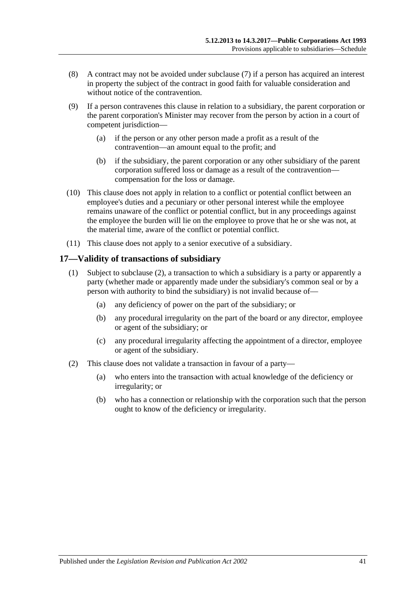- (8) A contract may not be avoided under [subclause](#page-39-2) (7) if a person has acquired an interest in property the subject of the contract in good faith for valuable consideration and without notice of the contravention.
- (9) If a person contravenes this clause in relation to a subsidiary, the parent corporation or the parent corporation's Minister may recover from the person by action in a court of competent jurisdiction—
	- (a) if the person or any other person made a profit as a result of the contravention—an amount equal to the profit; and
	- (b) if the subsidiary, the parent corporation or any other subsidiary of the parent corporation suffered loss or damage as a result of the contravention compensation for the loss or damage.
- (10) This clause does not apply in relation to a conflict or potential conflict between an employee's duties and a pecuniary or other personal interest while the employee remains unaware of the conflict or potential conflict, but in any proceedings against the employee the burden will lie on the employee to prove that he or she was not, at the material time, aware of the conflict or potential conflict.
- (11) This clause does not apply to a senior executive of a subsidiary.

#### <span id="page-40-0"></span>**17—Validity of transactions of subsidiary**

- (1) Subject to [subclause](#page-40-1) (2), a transaction to which a subsidiary is a party or apparently a party (whether made or apparently made under the subsidiary's common seal or by a person with authority to bind the subsidiary) is not invalid because of—
	- (a) any deficiency of power on the part of the subsidiary; or
	- (b) any procedural irregularity on the part of the board or any director, employee or agent of the subsidiary; or
	- (c) any procedural irregularity affecting the appointment of a director, employee or agent of the subsidiary.
- <span id="page-40-1"></span>(2) This clause does not validate a transaction in favour of a party—
	- (a) who enters into the transaction with actual knowledge of the deficiency or irregularity; or
	- (b) who has a connection or relationship with the corporation such that the person ought to know of the deficiency or irregularity.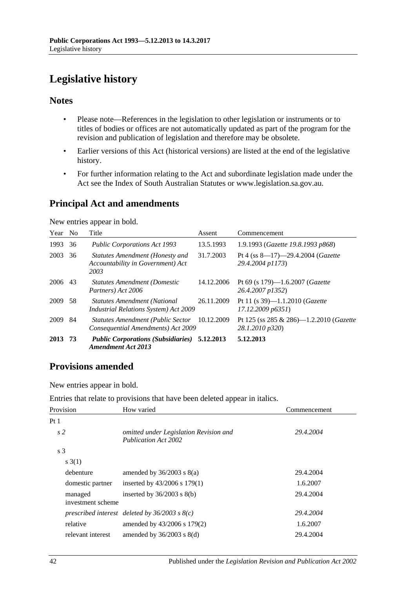# <span id="page-41-0"></span>**Legislative history**

#### **Notes**

- Please note—References in the legislation to other legislation or instruments or to titles of bodies or offices are not automatically updated as part of the program for the revision and publication of legislation and therefore may be obsolete.
- Earlier versions of this Act (historical versions) are listed at the end of the legislative history.
- For further information relating to the Act and subordinate legislation made under the Act see the Index of South Australian Statutes or www.legislation.sa.gov.au.

## **Principal Act and amendments**

New entries appear in bold.

| Year | N <sub>0</sub> | Title                                                                               | Assent     | Commencement                                                |
|------|----------------|-------------------------------------------------------------------------------------|------------|-------------------------------------------------------------|
| 1993 | 36             | <b>Public Corporations Act 1993</b>                                                 | 13.5.1993  | 1.9.1993 (Gazette 19.8.1993 p868)                           |
| 2003 | 36             | Statutes Amendment (Honesty and<br>Accountability in Government) Act<br>2003        | 31.7.2003  | Pt 4 (ss 8-17)-29.4.2004 (Gazette<br>29.4.2004 p1173)       |
| 2006 | 43             | <b>Statutes Amendment (Domestic</b><br>Partners) Act 2006                           | 14.12.2006 | Pt 69 (s 179)—1.6.2007 ( <i>Gazette</i><br>26.4.2007 p1352) |
| 2009 | 58             | <b>Statutes Amendment (National</b><br><i>Industrial Relations System) Act 2009</i> | 26.11.2009 | Pt 11 (s 39)-1.1.2010 ( <i>Gazette</i><br>17.12.2009 p6351  |
| 2009 | 84             | <b>Statutes Amendment (Public Sector</b><br>Consequential Amendments) Act 2009      | 10.12.2009 | Pt 125 (ss 285 & 286)-1.2.2010 (Gazette<br>28.1.2010 p320)  |
| 2013 | -73            | <b>Public Corporations (Subsidiaries) 5.12.2013</b><br><b>Amendment Act 2013</b>    |            | 5.12.2013                                                   |

## **Provisions amended**

New entries appear in bold.

| Entries that relate to provisions that have been deleted appear in italics. |  |  |  |  |  |
|-----------------------------------------------------------------------------|--|--|--|--|--|
|-----------------------------------------------------------------------------|--|--|--|--|--|

| Provision                    | How varied                                                            | Commencement |  |
|------------------------------|-----------------------------------------------------------------------|--------------|--|
| Pt 1                         |                                                                       |              |  |
| s <sub>2</sub>               | omitted under Legislation Revision and<br><b>Publication Act 2002</b> | 29.4.2004    |  |
| s <sub>3</sub>               |                                                                       |              |  |
| s(3(1))                      |                                                                       |              |  |
| debenture                    | amended by $36/2003$ s $8(a)$                                         | 29.4.2004    |  |
| domestic partner             | inserted by $43/2006$ s $179(1)$                                      | 1.6.2007     |  |
| managed<br>investment scheme | inserted by $36/2003$ s $8(b)$                                        | 29.4.2004    |  |
|                              | prescribed interest deleted by $36/2003$ s $8(c)$                     | 29.4.2004    |  |
| relative                     | amended by 43/2006 s 179(2)                                           | 1.6.2007     |  |
| relevant interest            | amended by $36/2003$ s $8(d)$                                         | 29.4.2004    |  |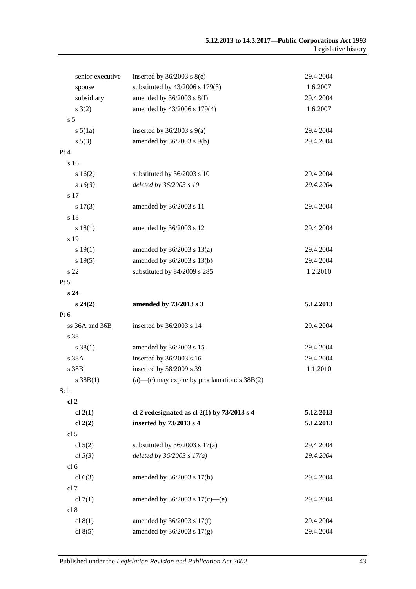| senior executive | inserted by $36/2003$ s $8(e)$                        | 29.4.2004 |
|------------------|-------------------------------------------------------|-----------|
| spouse           | substituted by 43/2006 s 179(3)                       | 1.6.2007  |
| subsidiary       | amended by $36/2003$ s $8(f)$                         | 29.4.2004 |
| s(2)             | amended by 43/2006 s 179(4)                           | 1.6.2007  |
| s <sub>5</sub>   |                                                       |           |
| $s\,5(1a)$       | inserted by $36/2003$ s $9(a)$                        | 29.4.2004 |
| $s\ 5(3)$        | amended by $36/2003$ s $9(b)$                         | 29.4.2004 |
| Pt 4             |                                                       |           |
| s 16             |                                                       |           |
| s 16(2)          | substituted by 36/2003 s 10                           | 29.4.2004 |
| $s\,16(3)$       | deleted by 36/2003 s 10                               | 29.4.2004 |
| s 17             |                                                       |           |
| $s\ 17(3)$       | amended by 36/2003 s 11                               | 29.4.2004 |
| s 18             |                                                       |           |
| s 18(1)          | amended by 36/2003 s 12                               | 29.4.2004 |
| s 19             |                                                       |           |
| s 19(1)          | amended by $36/2003$ s $13(a)$                        | 29.4.2004 |
| s 19(5)          | amended by 36/2003 s 13(b)                            | 29.4.2004 |
| s 22             | substituted by 84/2009 s 285                          | 1.2.2010  |
| Pt 5             |                                                       |           |
| s24              |                                                       |           |
| $s\,24(2)$       | amended by 73/2013 s 3                                | 5.12.2013 |
| Pt 6             |                                                       |           |
| ss 36A and 36B   | inserted by 36/2003 s 14                              | 29.4.2004 |
| s 38             |                                                       |           |
| $s \, 38(1)$     | amended by 36/2003 s 15                               | 29.4.2004 |
| s 38A            | inserted by 36/2003 s 16                              | 29.4.2004 |
| s 38B            | inserted by 58/2009 s 39                              | 1.1.2010  |
| s 38B(1)         | $(a)$ — $(c)$ may expire by proclamation: s 38B $(2)$ |           |
| Sch              |                                                       |           |
| cl <sub>2</sub>  |                                                       |           |
| cl 2(1)          | cl 2 redesignated as cl $2(1)$ by $73/2013$ s 4       | 5.12.2013 |
| cl $2(2)$        | inserted by 73/2013 s 4                               | 5.12.2013 |
| cl <sub>5</sub>  |                                                       |           |
| cl $5(2)$        | substituted by $36/2003$ s $17(a)$                    | 29.4.2004 |
| cl 5(3)          | deleted by $36/2003$ s $17(a)$                        | 29.4.2004 |
| cl <sub>6</sub>  |                                                       |           |
| cl $6(3)$        | amended by 36/2003 s 17(b)                            | 29.4.2004 |
| cl 7             |                                                       |           |
| cl $7(1)$        | amended by $36/2003$ s $17(c)$ —(e)                   | 29.4.2004 |
| cl 8             |                                                       |           |
| cl $8(1)$        | amended by 36/2003 s 17(f)                            | 29.4.2004 |
| cl $8(5)$        | amended by 36/2003 s 17(g)                            | 29.4.2004 |